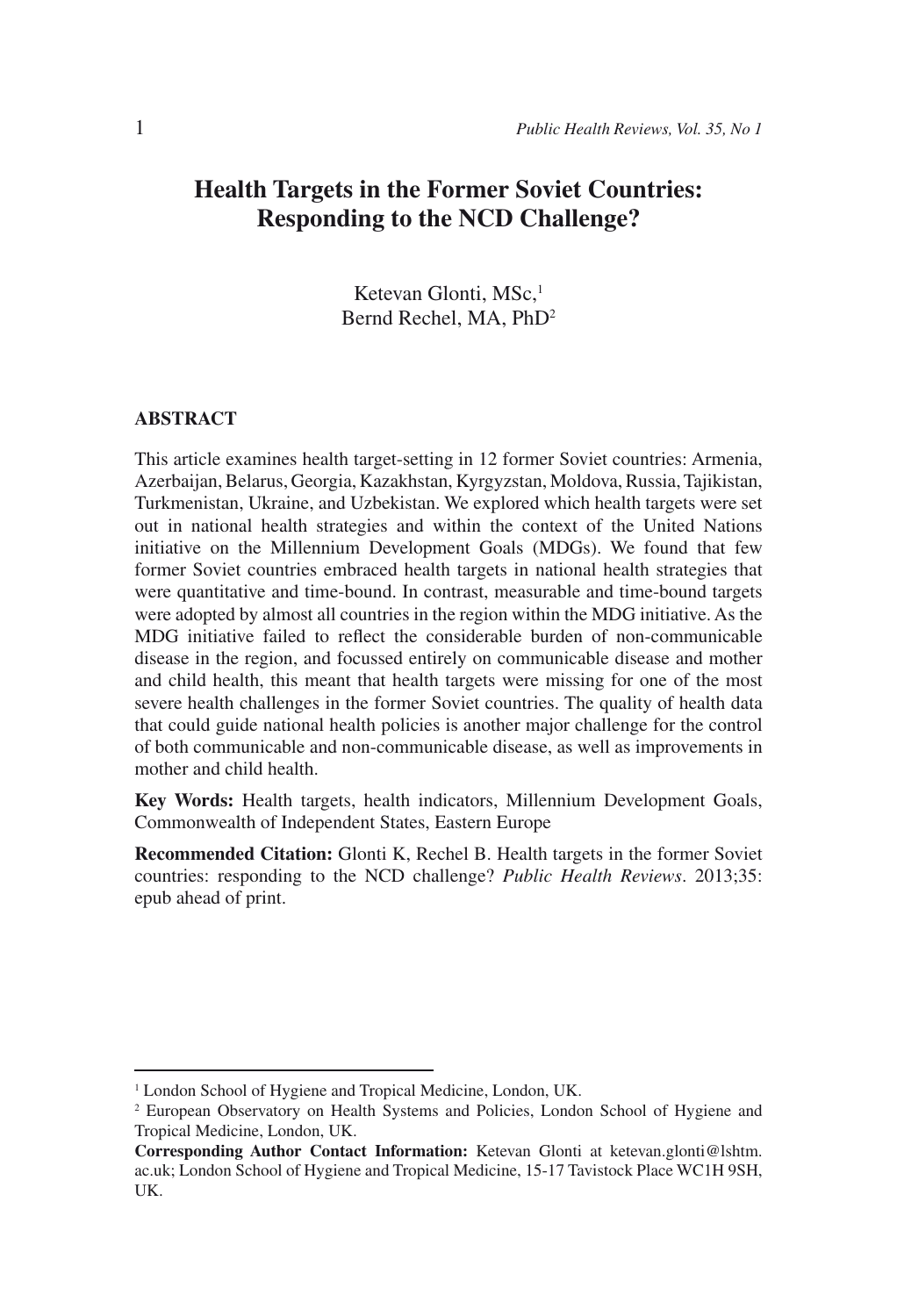# **Health Targets in the Former Soviet Countries: Responding to the NCD Challenge?**

Ketevan Glonti, MSc,<sup>1</sup> Bernd Rechel, MA, PhD2

#### **ABSTRACT**

This article examines health target-setting in 12 former Soviet countries: Armenia, Azerbaijan, Belarus, Georgia, Kazakhstan, Kyrgyzstan, Moldova, Russia, Tajikistan, Turkmenistan, Ukraine, and Uzbekistan. We explored which health targets were set out in national health strategies and within the context of the United Nations initiative on the Millennium Development Goals (MDGs). We found that few former Soviet countries embraced health targets in national health strategies that were quantitative and time-bound. In contrast, measurable and time-bound targets were adopted by almost all countries in the region within the MDG initiative. As the MDG initiative failed to reflect the considerable burden of non-communicable disease in the region, and focussed entirely on communicable disease and mother and child health, this meant that health targets were missing for one of the most severe health challenges in the former Soviet countries. The quality of health data that could guide national health policies is another major challenge for the control of both communicable and non-communicable disease, as well as improvements in mother and child health.

**Key Words:** Health targets, health indicators, Millennium Development Goals, Commonwealth of Independent States, Eastern Europe

**Recommended Citation:** Glonti K, Rechel B. Health targets in the former Soviet countries: responding to the NCD challenge? *Public Health Reviews*. 2013;35: epub ahead of print.

<sup>&</sup>lt;sup>1</sup> London School of Hygiene and Tropical Medicine, London, UK.

<sup>2</sup> European Observatory on Health Systems and Policies, London School of Hygiene and Tropical Medicine, London, UK.

**Corresponding Author Contact Information:** Ketevan Glonti at ketevan.glonti@lshtm. ac.uk; London School of Hygiene and Tropical Medicine, 15-17 Tavistock Place WC1H 9SH, UK.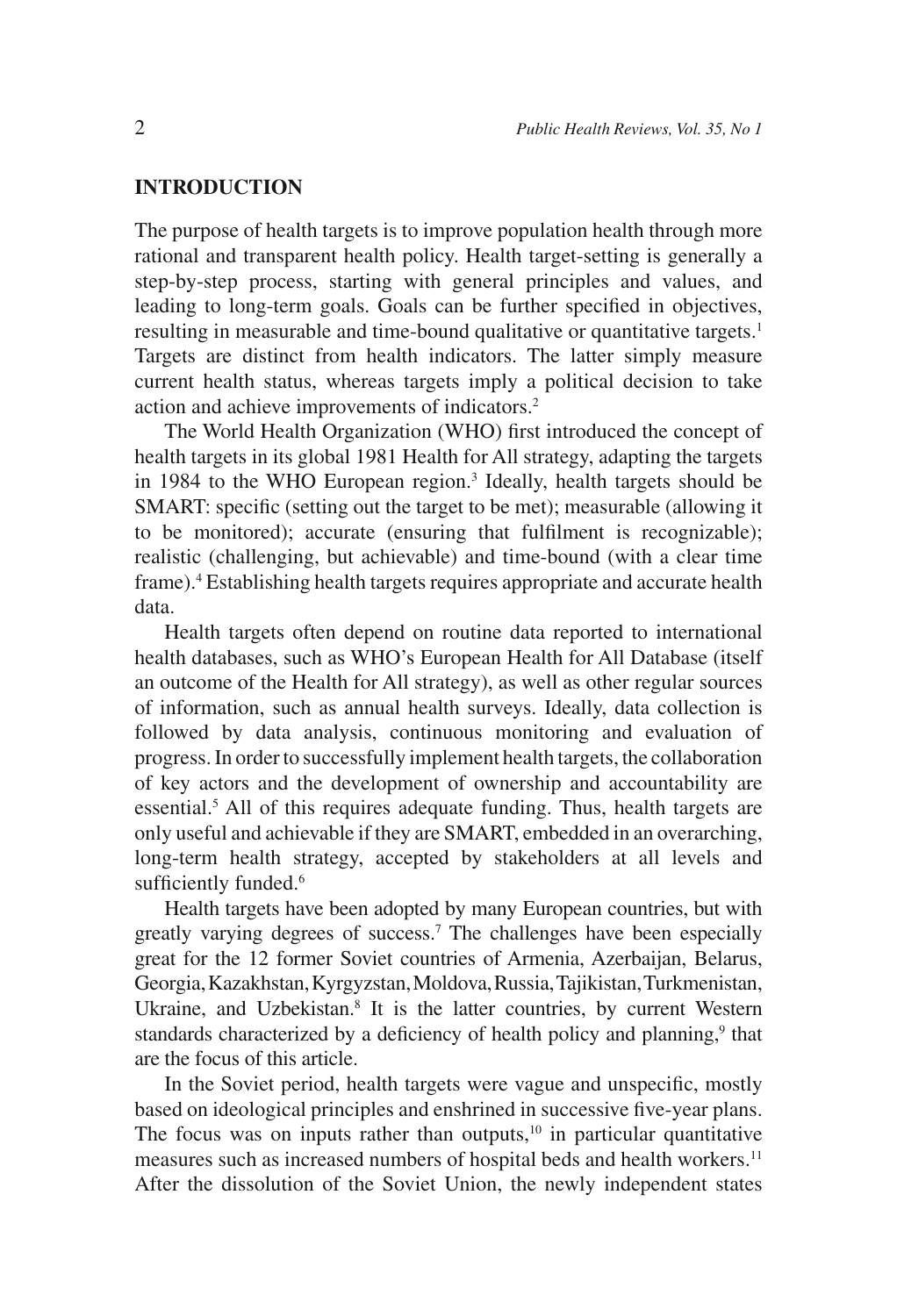## **INTRODUCTION**

The purpose of health targets is to improve population health through more rational and transparent health policy. Health target-setting is generally a step-by-step process, starting with general principles and values, and leading to long-term goals. Goals can be further specified in objectives, resulting in measurable and time-bound qualitative or quantitative targets.<sup>1</sup> Targets are distinct from health indicators. The latter simply measure current health status, whereas targets imply a political decision to take action and achieve improvements of indicators.2

The World Health Organization (WHO) first introduced the concept of health targets in its global 1981 Health for All strategy, adapting the targets in 1984 to the WHO European region.<sup>3</sup> Ideally, health targets should be SMART: specific (setting out the target to be met); measurable (allowing it to be monitored); accurate (ensuring that fulfilment is recognizable); realistic (challenging, but achievable) and time-bound (with a clear time frame).4 Establishing health targets requires appropriate and accurate health data.

Health targets often depend on routine data reported to international health databases, such as WHO's European Health for All Database (itself an outcome of the Health for All strategy), as well as other regular sources of information, such as annual health surveys. Ideally, data collection is followed by data analysis, continuous monitoring and evaluation of progress. In order to successfully implement health targets, the collaboration of key actors and the development of ownership and accountability are essential.<sup>5</sup> All of this requires adequate funding. Thus, health targets are only useful and achievable if they are SMART, embedded in an overarching, long-term health strategy, accepted by stakeholders at all levels and sufficiently funded.<sup>6</sup>

Health targets have been adopted by many European countries, but with greatly varying degrees of success.7 The challenges have been especially great for the 12 former Soviet countries of Armenia, Azerbaijan, Belarus, Georgia, Kazakhstan, Kyrgyzstan, Moldova, Russia, Tajikistan, Turkmenistan, Ukraine, and Uzbekistan.<sup>8</sup> It is the latter countries, by current Western standards characterized by a deficiency of health policy and planning,<sup>9</sup> that are the focus of this article.

In the Soviet period, health targets were vague and unspecific, mostly based on ideological principles and enshrined in successive five-year plans. The focus was on inputs rather than outputs, $10$  in particular quantitative measures such as increased numbers of hospital beds and health workers.<sup>11</sup> After the dissolution of the Soviet Union, the newly independent states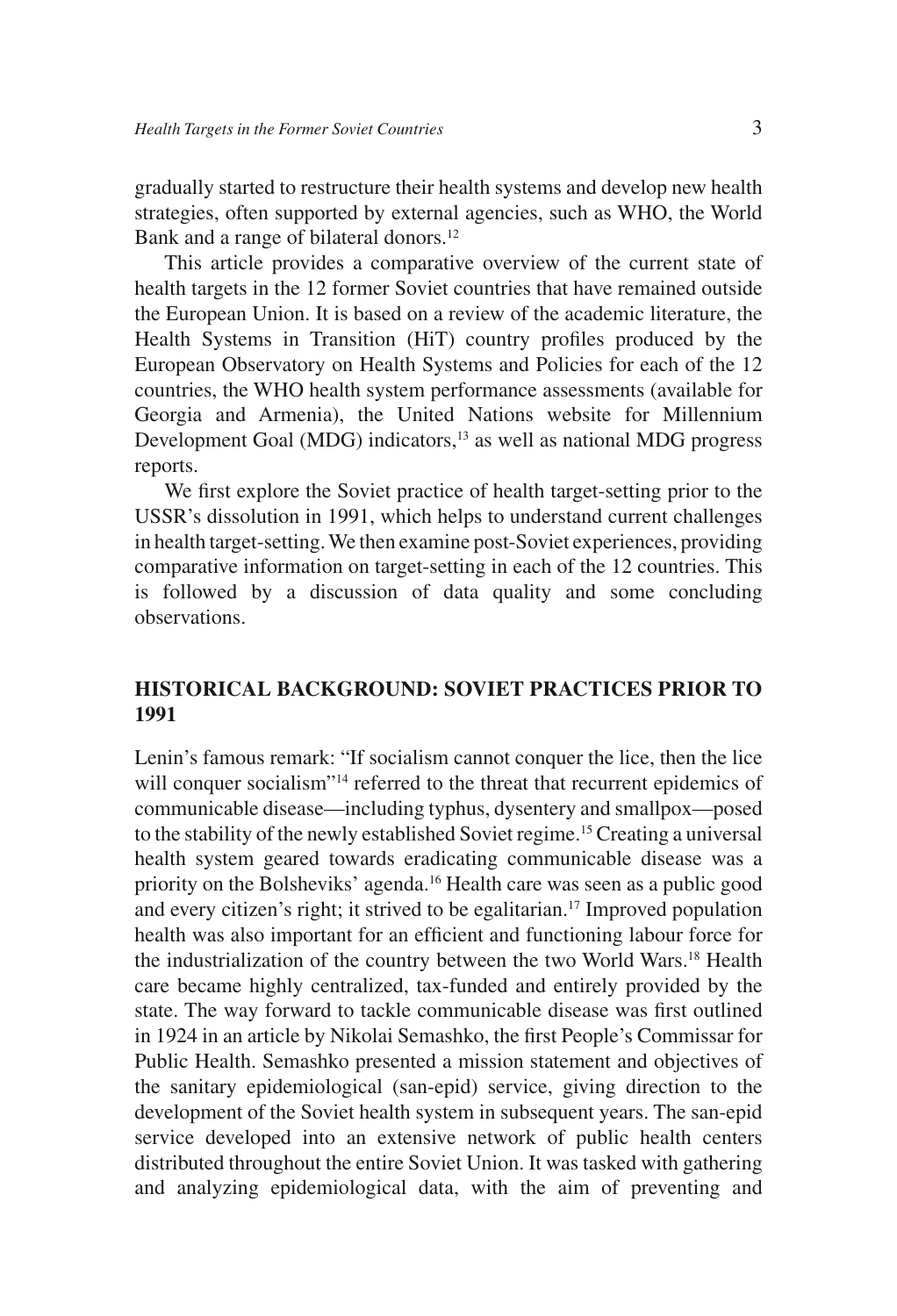gradually started to restructure their health systems and develop new health strategies, often supported by external agencies, such as WHO, the World Bank and a range of bilateral donors.<sup>12</sup>

This article provides a comparative overview of the current state of health targets in the 12 former Soviet countries that have remained outside the European Union. It is based on a review of the academic literature, the Health Systems in Transition (HiT) country profiles produced by the European Observatory on Health Systems and Policies for each of the 12 countries, the WHO health system performance assessments (available for Georgia and Armenia), the United Nations website for Millennium Development Goal (MDG) indicators,<sup>13</sup> as well as national MDG progress reports.

We first explore the Soviet practice of health target-setting prior to the USSR's dissolution in 1991, which helps to understand current challenges in health target-setting. We then examine post-Soviet experiences, providing comparative information on target-setting in each of the 12 countries. This is followed by a discussion of data quality and some concluding observations.

## **HISTORICAL BACKGROUND: SOVIET PRACTICES PRIOR TO 1991**

Lenin's famous remark: "If socialism cannot conquer the lice, then the lice will conquer socialism"<sup>14</sup> referred to the threat that recurrent epidemics of communicable disease—including typhus, dysentery and smallpox—posed to the stability of the newly established Soviet regime.<sup>15</sup> Creating a universal health system geared towards eradicating communicable disease was a priority on the Bolsheviks' agenda.<sup>16</sup> Health care was seen as a public good and every citizen's right; it strived to be egalitarian.<sup>17</sup> Improved population health was also important for an efficient and functioning labour force for the industrialization of the country between the two World Wars.18 Health care became highly centralized, tax-funded and entirely provided by the state. The way forward to tackle communicable disease was first outlined in 1924 in an article by Nikolai Semashko, the first People's Commissar for Public Health. Semashko presented a mission statement and objectives of the sanitary epidemiological (san-epid) service, giving direction to the development of the Soviet health system in subsequent years. The san-epid service developed into an extensive network of public health centers distributed throughout the entire Soviet Union. It was tasked with gathering and analyzing epidemiological data, with the aim of preventing and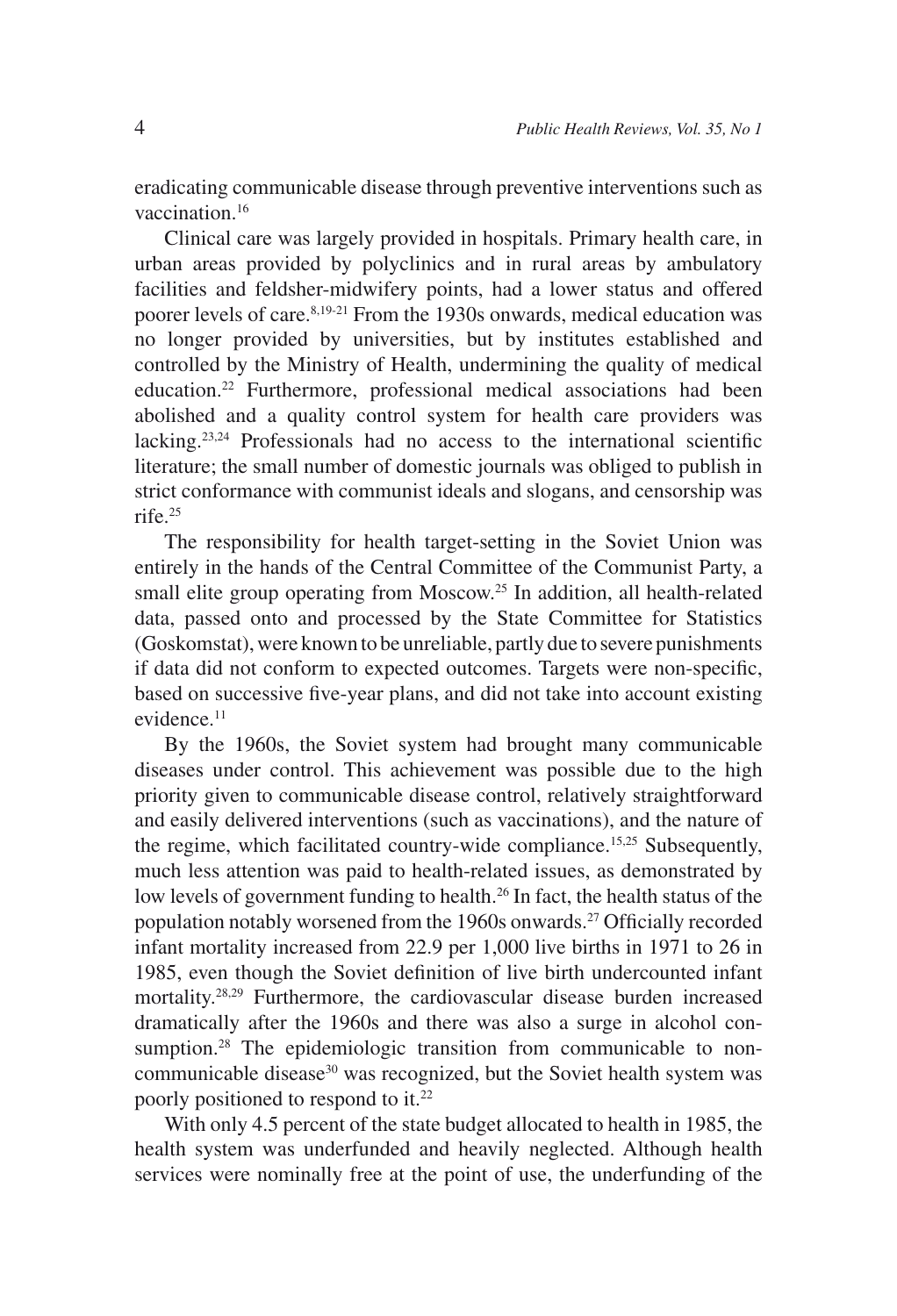eradicating communicable disease through preventive interventions such as vaccination.16

Clinical care was largely provided in hospitals. Primary health care, in urban areas provided by polyclinics and in rural areas by ambulatory facilities and feldsher-midwifery points, had a lower status and offered poorer levels of care.<sup>8,19-21</sup> From the 1930s onwards, medical education was no longer provided by universities, but by institutes established and controlled by the Ministry of Health, undermining the quality of medical education.22 Furthermore, professional medical associations had been abolished and a quality control system for health care providers was lacking.<sup>23,24</sup> Professionals had no access to the international scientific literature; the small number of domestic journals was obliged to publish in strict conformance with communist ideals and slogans, and censorship was rife.25

The responsibility for health target-setting in the Soviet Union was entirely in the hands of the Central Committee of the Communist Party, a small elite group operating from Moscow.<sup>25</sup> In addition, all health-related data, passed onto and processed by the State Committee for Statistics (Goskomstat), were known to be unreliable, partly due to severe punishments if data did not conform to expected outcomes. Targets were non-specific, based on successive five-year plans, and did not take into account existing evidence.<sup>11</sup>

By the 1960s, the Soviet system had brought many communicable diseases under control. This achievement was possible due to the high priority given to communicable disease control, relatively straightforward and easily delivered interventions (such as vaccinations), and the nature of the regime, which facilitated country-wide compliance.15,25 Subsequently, much less attention was paid to health-related issues, as demonstrated by low levels of government funding to health.<sup>26</sup> In fact, the health status of the population notably worsened from the 1960s onwards.<sup>27</sup> Officially recorded infant mortality increased from 22.9 per 1,000 live births in 1971 to 26 in 1985, even though the Soviet definition of live birth undercounted infant mortality.28,29 Furthermore, the cardiovascular disease burden increased dramatically after the 1960s and there was also a surge in alcohol consumption.<sup>28</sup> The epidemiologic transition from communicable to noncommunicable disease<sup>30</sup> was recognized, but the Soviet health system was poorly positioned to respond to it.<sup>22</sup>

With only 4.5 percent of the state budget allocated to health in 1985, the health system was underfunded and heavily neglected. Although health services were nominally free at the point of use, the underfunding of the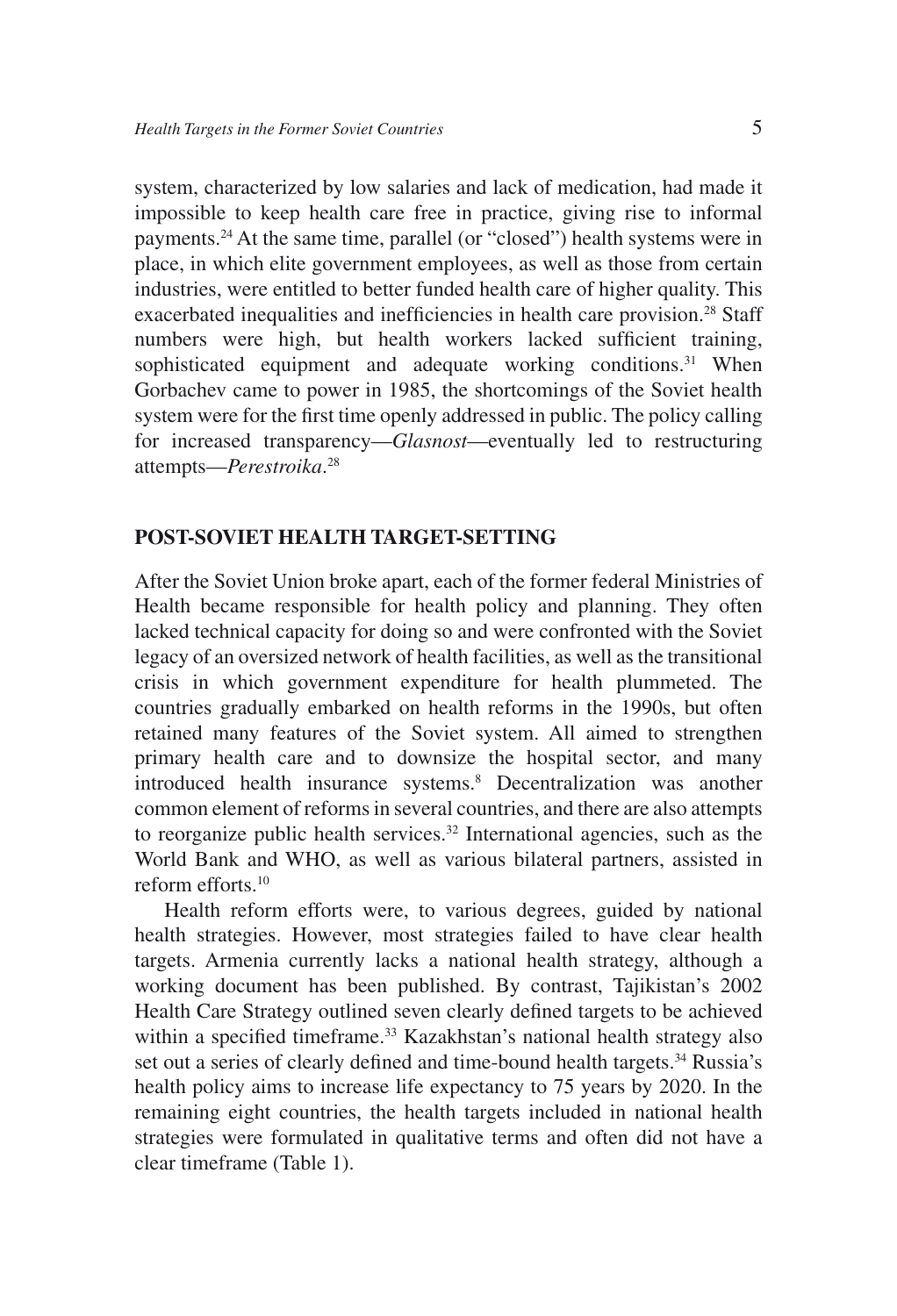system, characterized by low salaries and lack of medication, had made it impossible to keep health care free in practice, giving rise to informal payments.24 At the same time, parallel (or "closed") health systems were in place, in which elite government employees, as well as those from certain industries, were entitled to better funded health care of higher quality. This exacerbated inequalities and inefficiencies in health care provision.<sup>28</sup> Staff numbers were high, but health workers lacked sufficient training, sophisticated equipment and adequate working conditions.<sup>31</sup> When Gorbachev came to power in 1985, the shortcomings of the Soviet health system were for the first time openly addressed in public. The policy calling for increased transparency—*Glasnost*—eventually led to restructuring attempts—*Perestroika*. 28

### **POST-SOVIET HEALTH TARGET-SETTING**

After the Soviet Union broke apart, each of the former federal Ministries of Health became responsible for health policy and planning. They often lacked technical capacity for doing so and were confronted with the Soviet legacy of an oversized network of health facilities, as well as the transitional crisis in which government expenditure for health plummeted. The countries gradually embarked on health reforms in the 1990s, but often retained many features of the Soviet system. All aimed to strengthen primary health care and to downsize the hospital sector, and many introduced health insurance systems.<sup>8</sup> Decentralization was another common element of reforms in several countries, and there are also attempts to reorganize public health services.<sup>32</sup> International agencies, such as the World Bank and WHO, as well as various bilateral partners, assisted in reform efforts.10

Health reform efforts were, to various degrees, guided by national health strategies. However, most strategies failed to have clear health targets. Armenia currently lacks a national health strategy, although a working document has been published. By contrast, Tajikistan's 2002 Health Care Strategy outlined seven clearly defined targets to be achieved within a specified timeframe.<sup>33</sup> Kazakhstan's national health strategy also set out a series of clearly defined and time-bound health targets.<sup>34</sup> Russia's health policy aims to increase life expectancy to 75 years by 2020. In the remaining eight countries, the health targets included in national health strategies were formulated in qualitative terms and often did not have a clear timeframe (Table 1).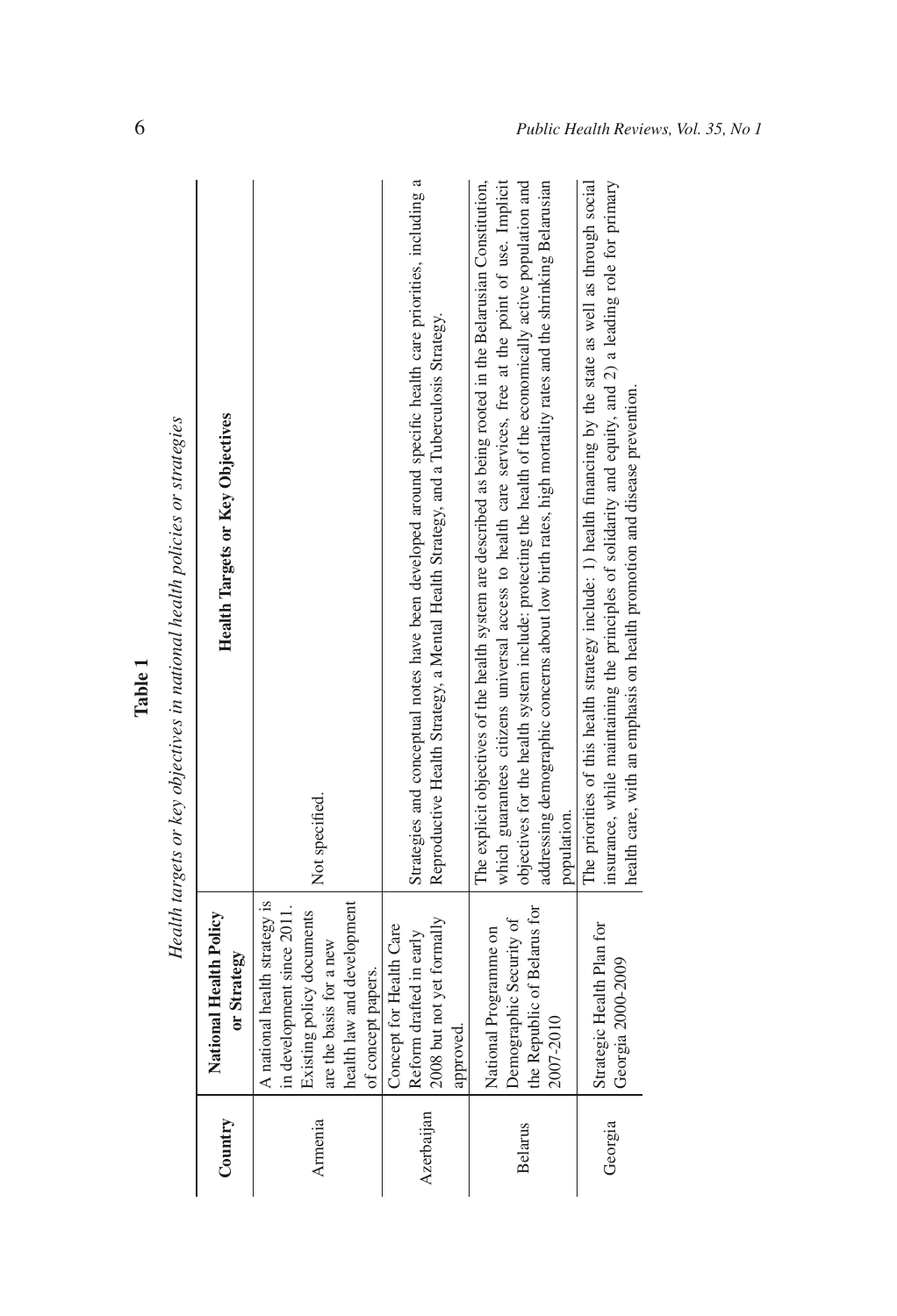| Table | Health targets or key objectives in national health policies or strategies |  |
|-------|----------------------------------------------------------------------------|--|
|-------|----------------------------------------------------------------------------|--|

Table 1

| Country        | National Health Policy<br>or Strategy                                                                                                                                   | <b>Health Targets or Key Objectives</b>                                                                                                                                                                                                                                                                                                                                                                                                                      |
|----------------|-------------------------------------------------------------------------------------------------------------------------------------------------------------------------|--------------------------------------------------------------------------------------------------------------------------------------------------------------------------------------------------------------------------------------------------------------------------------------------------------------------------------------------------------------------------------------------------------------------------------------------------------------|
| Armenia        | A national health strategy is<br>health law and development<br>in development since 2011.<br>Existing policy documents<br>are the basis for a new<br>of concept papers. | Not specified.                                                                                                                                                                                                                                                                                                                                                                                                                                               |
| Azerbaijan     | 2008 but not yet formally<br>Concept for Health Care<br>Reform drafted in early<br>approved.                                                                            | Strategies and conceptual notes have been developed around specific health care priorities, including a<br>Reproductive Health Strategy, a Mental Health Strategy, and a Tuberculosis Strategy.                                                                                                                                                                                                                                                              |
| <b>Belarus</b> | the Republic of Belarus for<br>Demographic Security of<br>National Programme on<br>2007-2010                                                                            | which guarantees citizens universal access to health care services, free at the point of use. Implicit<br>objectives for the health system include: protecting the health of the economically active population and<br>addressing demographic concerns about low birth rates, high mortality rates and the shrinking Belarusian<br>The explicit objectives of the health system are described as being rooted in the Belarusian Constitution,<br>population. |
| Georgia        | Strategic Health Plan for<br>Georgia 2000-2009                                                                                                                          | The priorities of this health strategy include: 1) health financing by the state as well as through social<br>insurance, while maintaining the principles of solidarity and equity, and 2) a leading role for primary<br>health care, with an emphasis on health promotion and disease prevention.                                                                                                                                                           |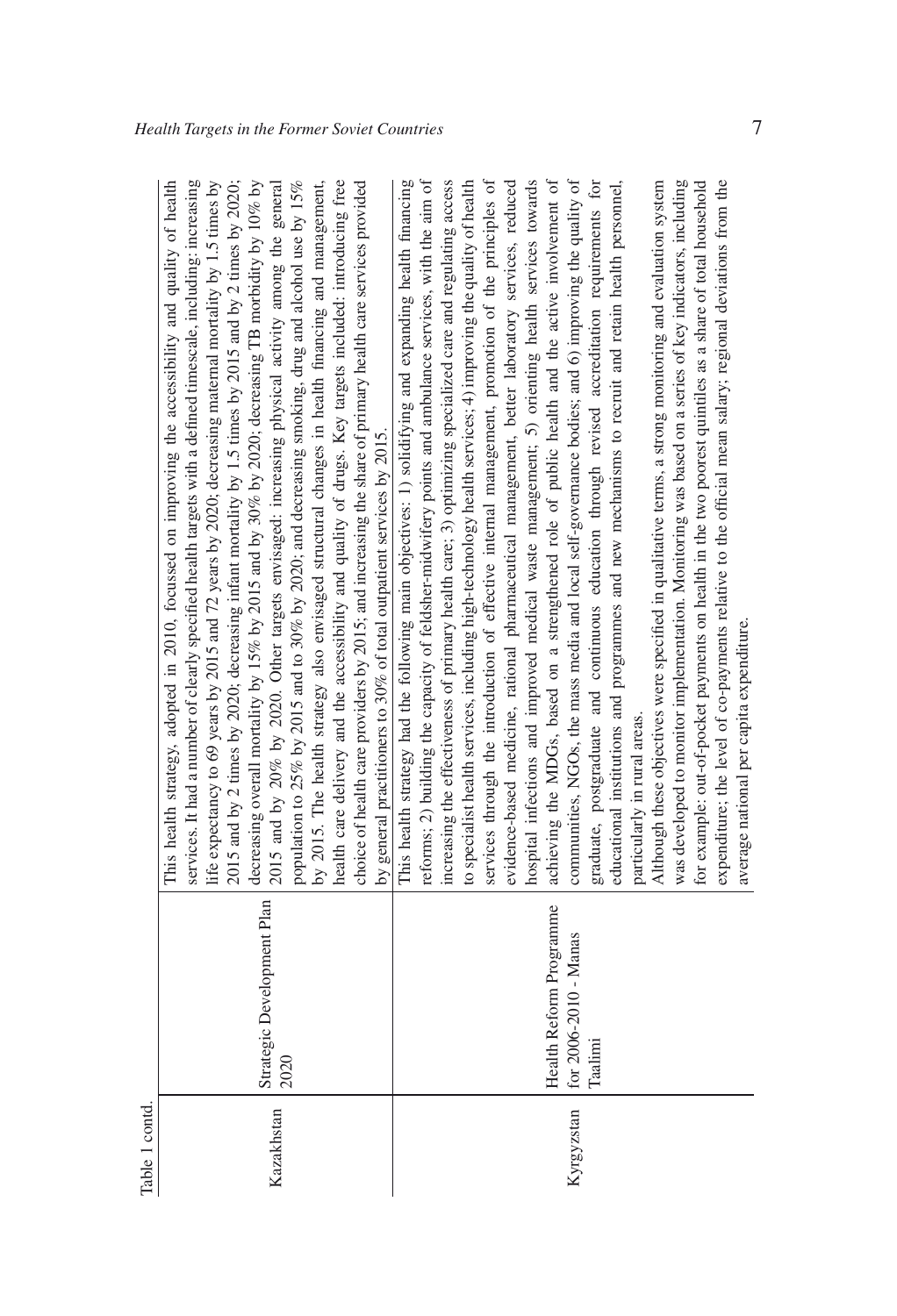| ⊐      |
|--------|
|        |
| Ê<br>Ć |
|        |
|        |
| Φ      |
| ≏      |
| .ದ     |

| Table 1 contd. |                                                             |                                                                                                                                                                                                                                                                                                                                                                                                                                                                                                                                                                                                                                                                                                                                                                                                                                                                                                                                                                                                                                                                                                                                                                                                                                                                                                                                                                                                                                                                                                                                                                                                                                                                                                       |
|----------------|-------------------------------------------------------------|-------------------------------------------------------------------------------------------------------------------------------------------------------------------------------------------------------------------------------------------------------------------------------------------------------------------------------------------------------------------------------------------------------------------------------------------------------------------------------------------------------------------------------------------------------------------------------------------------------------------------------------------------------------------------------------------------------------------------------------------------------------------------------------------------------------------------------------------------------------------------------------------------------------------------------------------------------------------------------------------------------------------------------------------------------------------------------------------------------------------------------------------------------------------------------------------------------------------------------------------------------------------------------------------------------------------------------------------------------------------------------------------------------------------------------------------------------------------------------------------------------------------------------------------------------------------------------------------------------------------------------------------------------------------------------------------------------|
| Kazakhstan     | Strategic Development Plan<br>2020                          | services. It had a number of clearly specified health targets with a defined timescale, including: increasing<br>health care delivery and the accessibility and quality of drugs. Key targets included: introducing free<br>life expectancy to 69 years by 2015 and 72 years by 2020; decreasing maternal mortality by 1.5 times by<br>2015 and by 2 times by 2020; decreasing infant mortality by 1.5 times by 2015 and by 2 times by 2020;<br>decreasing overall mortality by 15% by 2015 and by 30% by 2020; decreasing TB morbidity by 10% by<br>2015 and by 20% by 2020. Other targets envisaged: increasing physical activity among the general<br>population to 25% by 2015 and to 30% by 2020; and decreasing smoking, drug and alcohol use by 15%<br>by 2015. The health strategy also envisaged structural changes in health financing and management,<br>This health strategy, adopted in 2010, focussed on improving the accessibility and quality of health<br>choice of health care providers by 2015; and increasing the share of primary health care services provided<br>by general practitioners to 30% of total outpatient services by 2015.                                                                                                                                                                                                                                                                                                                                                                                                                                                                                                                                       |
| Kyrgyzstan     | Health Reform Programme<br>for 2006-2010 - Manas<br>Taalimi | to specialist health services, including high-technology health services; 4) improving the quality of health<br>hospital infections and improved medical waste management; 5) orienting health services towards<br>evidence-based medicine, rational pharmaceutical management, better laboratory services, reduced<br>achieving the MDGs, based on a strengthened role of public health and the active involvement of<br>expenditure; the level of co-payments relative to the official mean salary; regional deviations from the<br>This health strategy had the following main objectives: 1) solidifying and expanding health financing<br>reforms; 2) building the capacity of feldsher-midwifery points and ambulance services, with the aim of<br>communities, NGOs, the mass media and local self-governance bodies; and 6) improving the quality of<br>graduate, postgraduate and continuous education through revised accreditation requirements for<br>educational institutions and programmes and new mechanisms to recruit and retain health personnel,<br>was developed to monitor implementation. Monitoring was based on a series of key indicators, including<br>for example: out-of-pocket payments on health in the two poorest quintiles as a share of total household<br>increasing the effectiveness of primary health care; 3) optimizing specialized care and regulating access<br>services through the introduction of effective internal management, promotion of the principles of<br>Although these objectives were specified in qualitative terms, a strong monitoring and evaluation system<br>average national per capita expenditure.<br>particularly in rural areas. |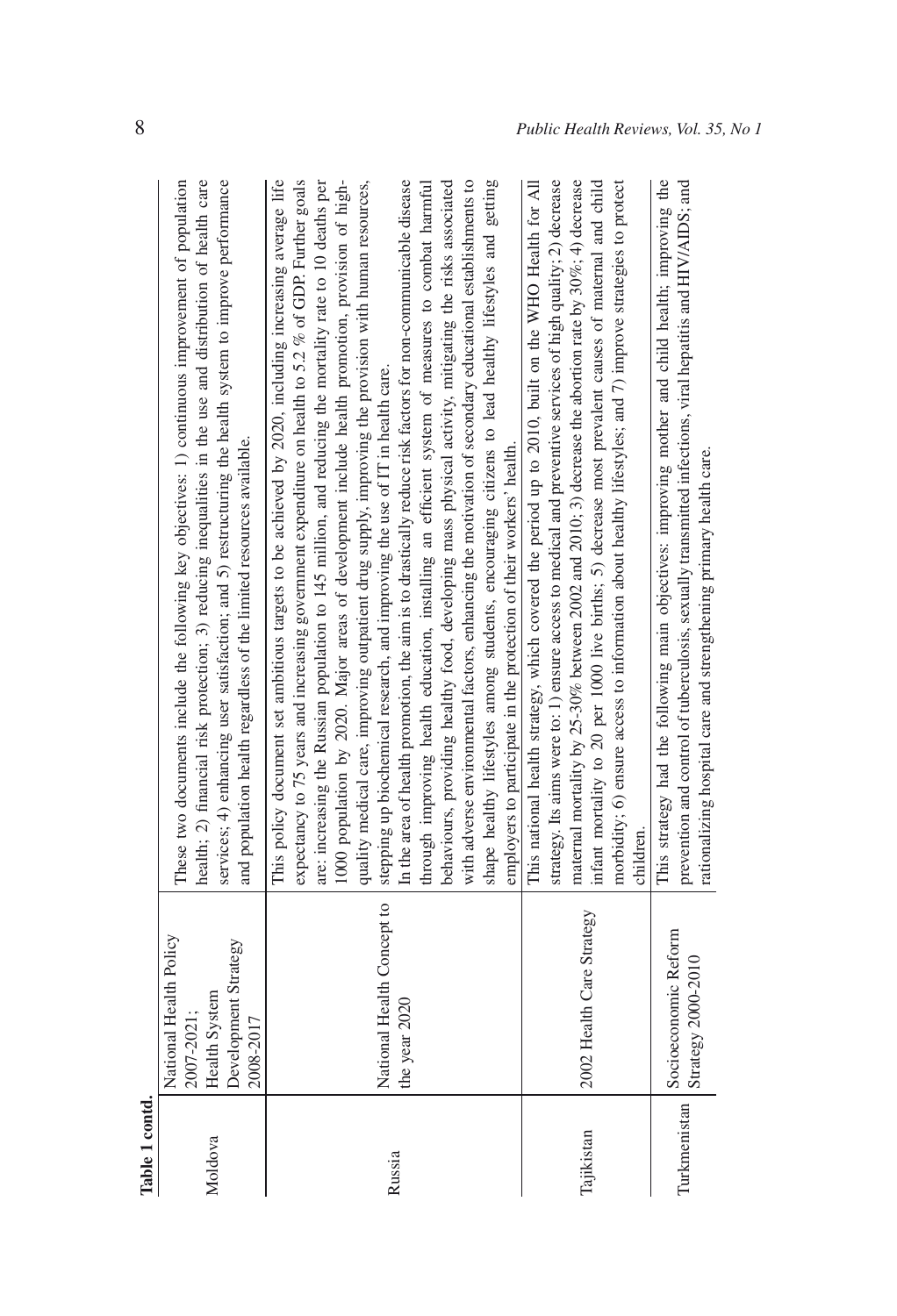| Table 1 contd. |                                                                                            |                                                                                                                                                                                                                                                                                                                                                                                                                                                                                                                                                                                                                                                                                                                                                                                                                                                                                                                                                                                                                                                                                                                                                                                                                                                |
|----------------|--------------------------------------------------------------------------------------------|------------------------------------------------------------------------------------------------------------------------------------------------------------------------------------------------------------------------------------------------------------------------------------------------------------------------------------------------------------------------------------------------------------------------------------------------------------------------------------------------------------------------------------------------------------------------------------------------------------------------------------------------------------------------------------------------------------------------------------------------------------------------------------------------------------------------------------------------------------------------------------------------------------------------------------------------------------------------------------------------------------------------------------------------------------------------------------------------------------------------------------------------------------------------------------------------------------------------------------------------|
| Moldova        | National Health Policy<br>Development Strategy<br>Health System<br>2007-2021:<br>2008-2017 | These two documents include the following key objectives: 1) continuous improvement of population<br>health; 2) financial risk protection; 3) reducing inequalities in the use and distribution of health care<br>services; 4) enhancing user satisfaction; and 5) restructuring the health system to improve performance<br>and population health regardless of the limited resources available.                                                                                                                                                                                                                                                                                                                                                                                                                                                                                                                                                                                                                                                                                                                                                                                                                                              |
| Russia         | National Health Concept to<br>the year 2020                                                | expectancy to 75 years and increasing government expenditure on health to 5.2 % of GDP. Further goals<br>In the area of health promotion, the aim is to drastically reduce risk factors for non-communicable disease<br>shape healthy lifestyles among students, encouraging citizens to lead healthy lifestyles and getting<br>This policy document set ambitious targets to be achieved by 2020, including increasing average life<br>are: increasing the Russian population to 145 million, and reducing the mortality rate to 10 deaths per<br>1000 population by 2020. Major areas of development include health promotion, provision of high-<br>with adverse environmental factors, enhancing the motivation of secondary educational establishments to<br>quality medical care, improving outpatient drug supply, improving the provision with human resources,<br>through improving health education, installing an efficient system of measures to combat harmful<br>behaviours, providing healthy food, developing mass physical activity, mitigating the risks associated<br>stepping up biochemical research, and improving the use of IT in health care.<br>employers to participate in the protection of their workers' health. |
| Tajikistan     | 2002 Health Care Strategy                                                                  | strategy. Its aims were to: 1) ensure access to medical and preventive services of high quality; 2) decrease<br>maternal mortality by 25-30% between 2002 and 2010; 3) decrease the abortion rate by $30\%$ ; 4) decrease<br>morbidity; 6) ensure access to information about healthy lifestyles; and 7) improve strategies to protect<br>This national health strategy, which covered the period up to 2010, built on the WHO Health for All<br>infant mortality to 20 per 1000 live births; 5) decrease most prevalent causes of maternal and child<br>children.                                                                                                                                                                                                                                                                                                                                                                                                                                                                                                                                                                                                                                                                             |
| Turkmenistan   | Socioeconomic Reform<br>Strategy 2000-2010                                                 | This strategy had the following main objectives: improving mother and child health; improving the<br>prevention and control of tuberculosis, sexually transmitted infections, viral hepatitis and HIV/AIDS; and<br>rationalizing hospital care and strengthening primary health care.                                                                                                                                                                                                                                                                                                                                                                                                                                                                                                                                                                                                                                                                                                                                                                                                                                                                                                                                                          |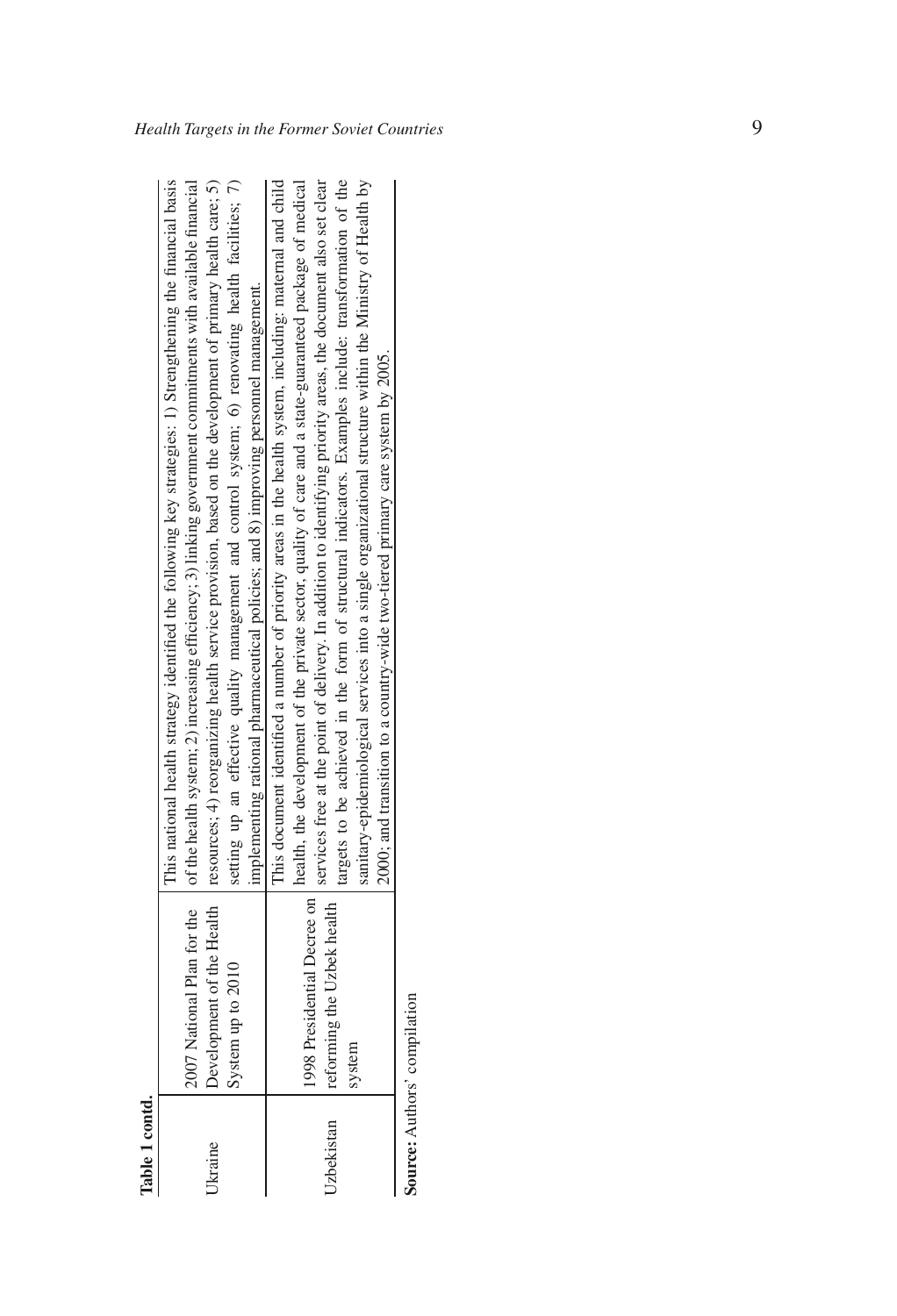| J  |  |
|----|--|
|    |  |
| ٩  |  |
| í  |  |
| -9 |  |

|            |                              | This national health strategy identified the following key strategies: 1) Strengthening the financial basis                             |
|------------|------------------------------|-----------------------------------------------------------------------------------------------------------------------------------------|
|            |                              | 2007 National Plan for the   of the health system; 2) increasing efficiency; 3) linking government commitments with available financial |
| Ukraine    |                              | Development of the Health   resources; 4) reorganizing health service provision, based on the development of primary health care; 5)    |
|            | System up to 2010            | setting up an effective quality management and control system; 6) renovating health facilities; 7)                                      |
|            |                              | implementing rational pharmaceutical policies; and $8$ ) improving personnel management.                                                |
|            |                              | This document identified a number of priority areas in the health system, including: maternal and child                                 |
|            | 1998 Presidential Decree on  | health, the development of the private sector, quality of care and a state-guaranteed package of medical                                |
| Uzbekistan | reforming the Uzbek health   | services free at the point of delivery. In addition to identifying priority areas, the document also set clear                          |
|            |                              | targets to be achieved in the form of structural indicators. Examples include: transformation of the                                    |
|            | system                       | sanitary-epidemiological services into a single organizational structure within the Ministry of Health by                               |
|            |                              | 2000; and transition to a country-wide two-tiered primary care system by 2005.                                                          |
|            | Source: Authors' compilation |                                                                                                                                         |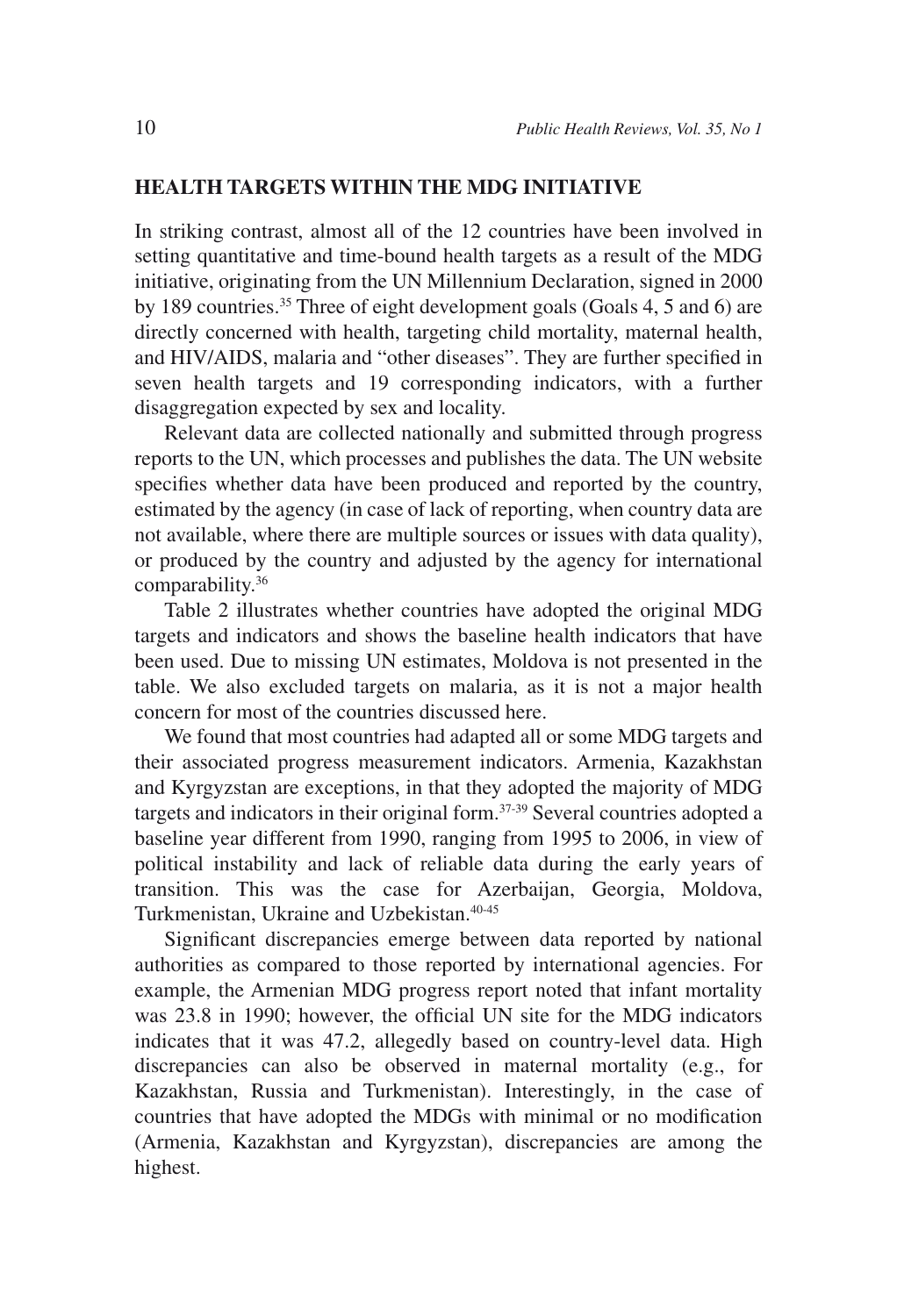#### **HEALTH TARGETS WITHIN THE MDG INITIATIVE**

In striking contrast, almost all of the 12 countries have been involved in setting quantitative and time-bound health targets as a result of the MDG initiative, originating from the UN Millennium Declaration, signed in 2000 by 189 countries.35 Three of eight development goals (Goals 4, 5 and 6) are directly concerned with health, targeting child mortality, maternal health, and HIV/AIDS, malaria and "other diseases". They are further specified in seven health targets and 19 corresponding indicators, with a further disaggregation expected by sex and locality.

Relevant data are collected nationally and submitted through progress reports to the UN, which processes and publishes the data. The UN website specifies whether data have been produced and reported by the country, estimated by the agency (in case of lack of reporting, when country data are not available, where there are multiple sources or issues with data quality), or produced by the country and adjusted by the agency for international comparability.36

Table 2 illustrates whether countries have adopted the original MDG targets and indicators and shows the baseline health indicators that have been used. Due to missing UN estimates, Moldova is not presented in the table. We also excluded targets on malaria, as it is not a major health concern for most of the countries discussed here.

We found that most countries had adapted all or some MDG targets and their associated progress measurement indicators. Armenia, Kazakhstan and Kyrgyzstan are exceptions, in that they adopted the majority of MDG targets and indicators in their original form.37-39 Several countries adopted a baseline year different from 1990, ranging from 1995 to 2006, in view of political instability and lack of reliable data during the early years of transition. This was the case for Azerbaijan, Georgia, Moldova, Turkmenistan, Ukraine and Uzbekistan.<sup>40-45</sup>

Significant discrepancies emerge between data reported by national authorities as compared to those reported by international agencies. For example, the Armenian MDG progress report noted that infant mortality was 23.8 in 1990; however, the official UN site for the MDG indicators indicates that it was 47.2, allegedly based on country-level data. High discrepancies can also be observed in maternal mortality (e.g., for Kazakhstan, Russia and Turkmenistan). Interestingly, in the case of countries that have adopted the MDGs with minimal or no modification (Armenia, Kazakhstan and Kyrgyzstan), discrepancies are among the highest.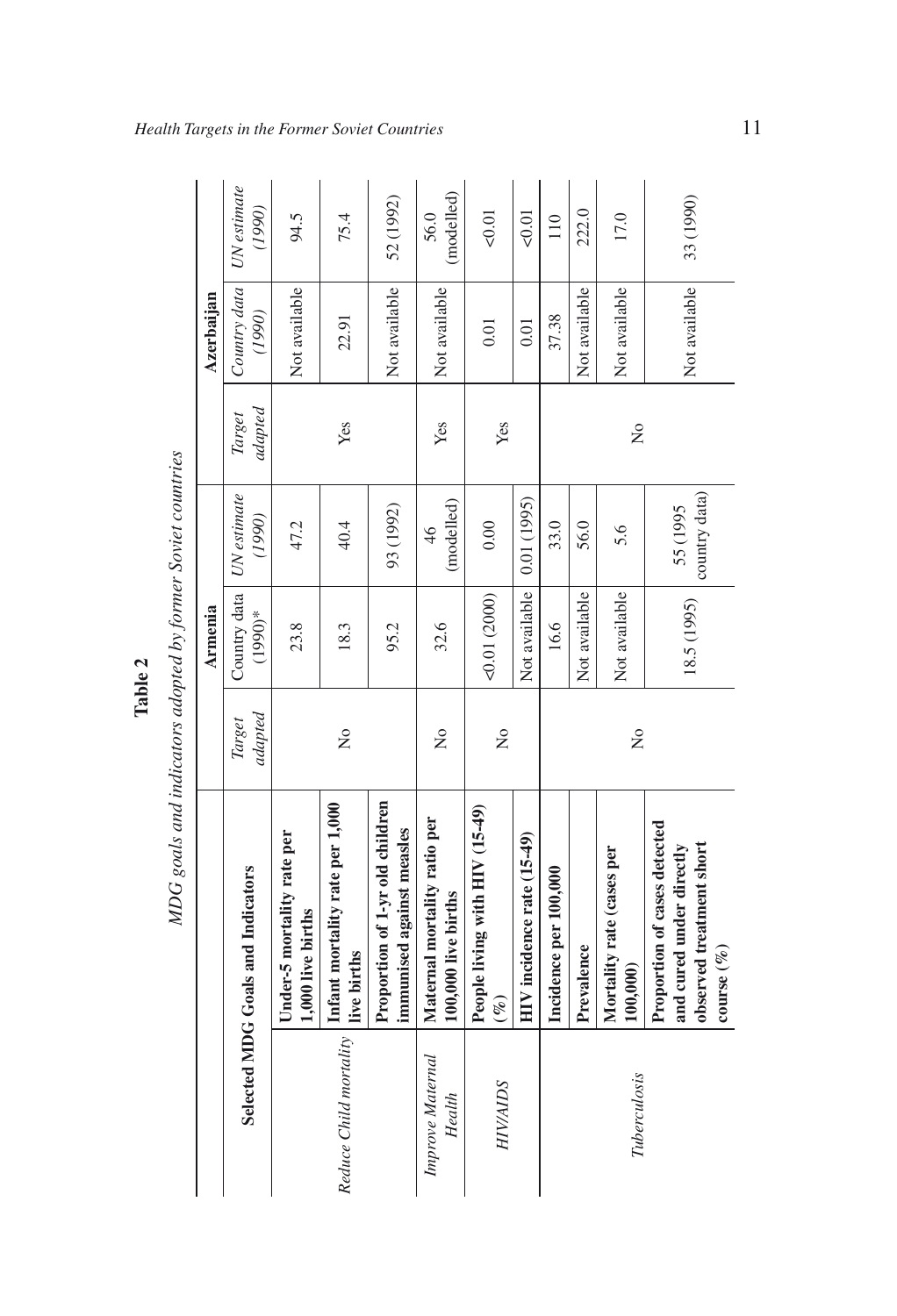|   | not con          |
|---|------------------|
|   |                  |
|   |                  |
|   |                  |
|   |                  |
|   |                  |
|   |                  |
|   |                  |
|   |                  |
|   |                  |
|   | a vunn o         |
|   |                  |
|   |                  |
|   |                  |
|   |                  |
|   |                  |
|   |                  |
|   |                  |
|   |                  |
|   |                  |
|   |                  |
|   |                  |
|   |                  |
|   |                  |
|   | $\ddot{c}$       |
|   |                  |
|   |                  |
|   |                  |
|   |                  |
|   |                  |
|   |                  |
|   |                  |
|   |                  |
|   |                  |
|   |                  |
|   |                  |
|   |                  |
|   |                  |
|   |                  |
|   |                  |
|   |                  |
|   |                  |
|   |                  |
|   |                  |
|   |                  |
|   |                  |
|   | ndicatore adopta |
|   |                  |
|   |                  |
|   |                  |
|   |                  |
|   |                  |
|   |                  |
|   |                  |
|   |                  |
|   | n <sub>d</sub>   |
|   |                  |
|   |                  |
|   |                  |
| ï |                  |
|   |                  |

|                            |                                                                                                              |                         | Table 2                   |                             |                   |                        |                       |
|----------------------------|--------------------------------------------------------------------------------------------------------------|-------------------------|---------------------------|-----------------------------|-------------------|------------------------|-----------------------|
|                            | MDG goals and indicators adopted by former Soviet countries                                                  |                         |                           |                             |                   |                        |                       |
|                            |                                                                                                              |                         | <b>Armenia</b>            |                             |                   | Azerbaijan             |                       |
|                            | Selected MDG Goals and Indicators                                                                            | adapted<br>Target       | Country data<br>$(1990)*$ | UN estimate<br>(1990)       | adapted<br>Target | Country data<br>(1990) | UN estimate<br>(1990) |
|                            | Under-5 mortality rate per<br>1,000 live births                                                              |                         | 23.8                      | 47.2                        |                   | Not available          | 94.5                  |
| Reduce Child mortality     | Infant mortality rate per 1,000<br>live births                                                               | $\frac{1}{2}$           | 18.3                      | 40.4                        | Yes               | 22.91                  | 75.4                  |
|                            | Proportion of 1-yr old children<br>immunised against measles                                                 |                         | 95.2                      | 93 (1992)                   |                   | Not available          | 52 (1992)             |
| Improve Maternal<br>Health | Maternal mortality ratio per<br>100,000 live births                                                          | $\frac{1}{2}$           | 32.6                      | (modelled)<br>$\frac{4}{6}$ | Yes               | Not available          | (modelled)<br>56.0    |
| <b>HIV/AIDS</b>            | People living with HIV (15-49)<br>$(\%)$                                                                     | $\overline{\mathsf{X}}$ | 0.01(2000)                | 0.00                        | Yes               | 0.01                   | 0.01                  |
|                            | HIV incidence rate (15-49)                                                                                   |                         | Not available             | 0.01 (1995)                 |                   | 0.01                   | 50.01                 |
|                            | Incidence per 100,000                                                                                        |                         | 16.6                      | 33.0                        |                   | 37.38                  | 110                   |
|                            | Prevalence                                                                                                   |                         | Not available             | 56.0                        |                   | Not available          | 222.0                 |
| Tuberculosis               | Mortality rate (cases per<br>100,000)                                                                        | $\frac{1}{2}$           | Not available             | 5.6                         | $\tilde{z}$       | Not available          | 17.0                  |
|                            | <b>Proportion of cases detected</b><br>observed treatment short<br>and cured under directly<br>course $(\%)$ |                         | 18.5 (1995)               | country data)<br>55 (1995   |                   | Not available          | 33 (1990)             |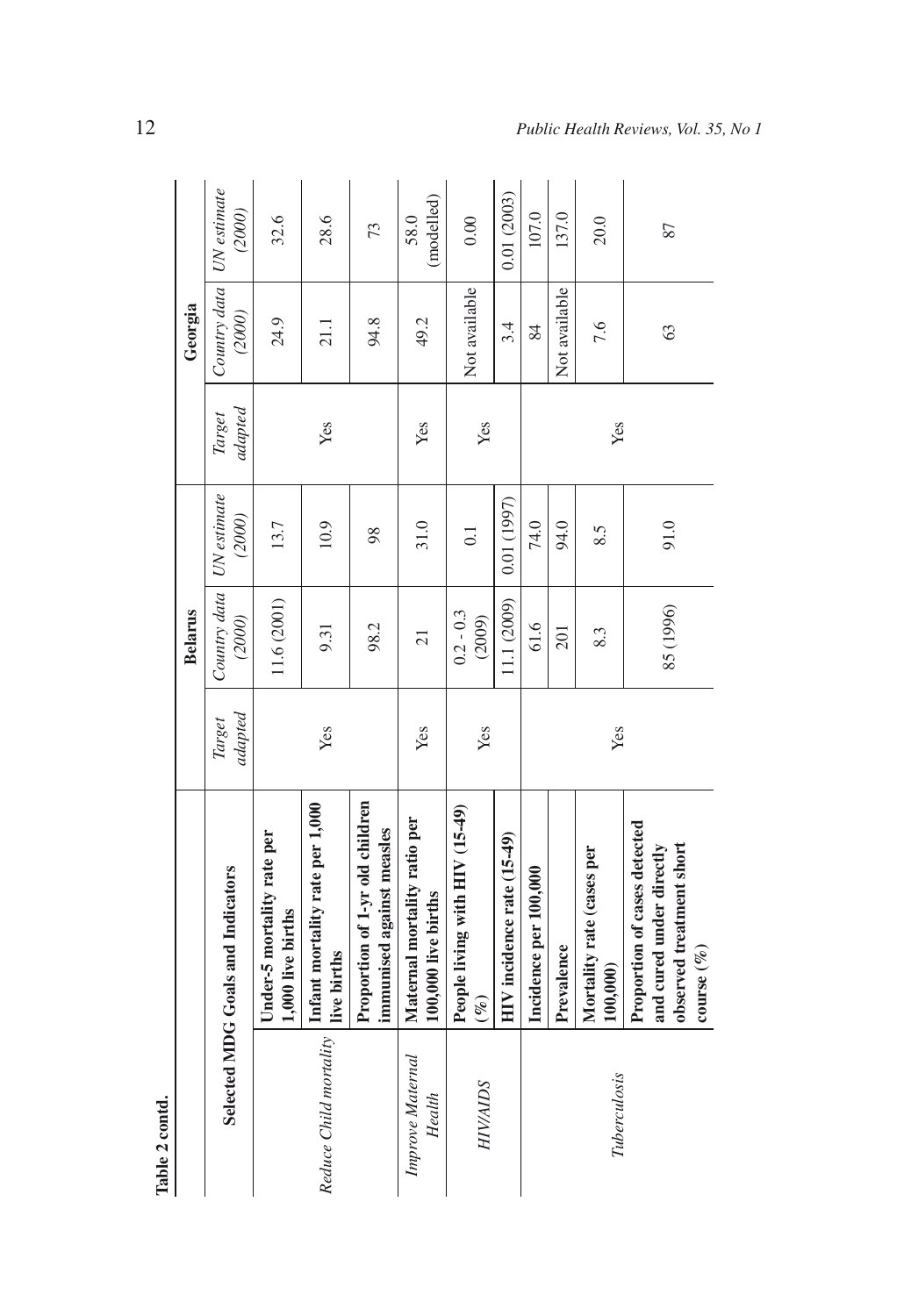| Table 2 contd.             |                                                                                                    |                   |                                      |            |                   |                                      |                    |
|----------------------------|----------------------------------------------------------------------------------------------------|-------------------|--------------------------------------|------------|-------------------|--------------------------------------|--------------------|
|                            |                                                                                                    |                   | <b>Belarus</b>                       |            |                   | Georgia                              |                    |
|                            | Selected MDG Goals and Indicators                                                                  | adapted<br>Target | Country data   UN estimate<br>(2000) | (2000)     | adapted<br>Target | Country data   UN estimate<br>(2000) | (2000)             |
|                            | Under-5 mortality rate per<br>1,000 live births                                                    |                   | 11.6(2001)                           | 13.7       |                   | 24.9                                 | 32.6               |
| Reduce Child mortality     | Infant mortality rate per 1,000<br>live births                                                     | Yes               | 9.31                                 | 10.9       | Yes               | 21.1                                 | 28.6               |
|                            | Proportion of 1-yr old children<br>immunised against measles                                       |                   | 98.2                                 | 98         |                   | 94.8                                 | 73                 |
| Improve Maternal<br>Health | Maternal mortality ratio per<br>100,000 live births                                                | Yes               | $\overline{21}$                      | 31.0       | Yes               | 49.2                                 | (modelled)<br>58.0 |
| <b>HIV/AIDS</b>            | People living with HIV (15-49)<br>$(\%)$                                                           | Yes               | $0.2 - 0.3$<br>(2009)                | 0.1        | Yes               | Not available                        | 0.00               |
|                            | HIV incidence rate (15-49)                                                                         |                   | 11.1 (2009)                          | 0.01(1997) |                   | 3.4                                  | 0.01(2003)         |
|                            | Incidence per 100,000                                                                              |                   | 61.6                                 | 74.0       |                   | 84                                   | 107.0              |
|                            | Prevalence                                                                                         |                   | 201                                  | 94.0       |                   | Not available                        | 137.0              |
| Tuberculosis               | Mortality rate (cases per<br>100,000                                                               | Yes               | 8.3                                  | 8.5        | Yes               | 7.6                                  | 20.0               |
|                            | Proportion of cases detected<br>observed treatment short<br>and cured under directly<br>course( %) |                   | 85 (1996)                            | 91.0       |                   | $\mathcal{C}$                        | 87                 |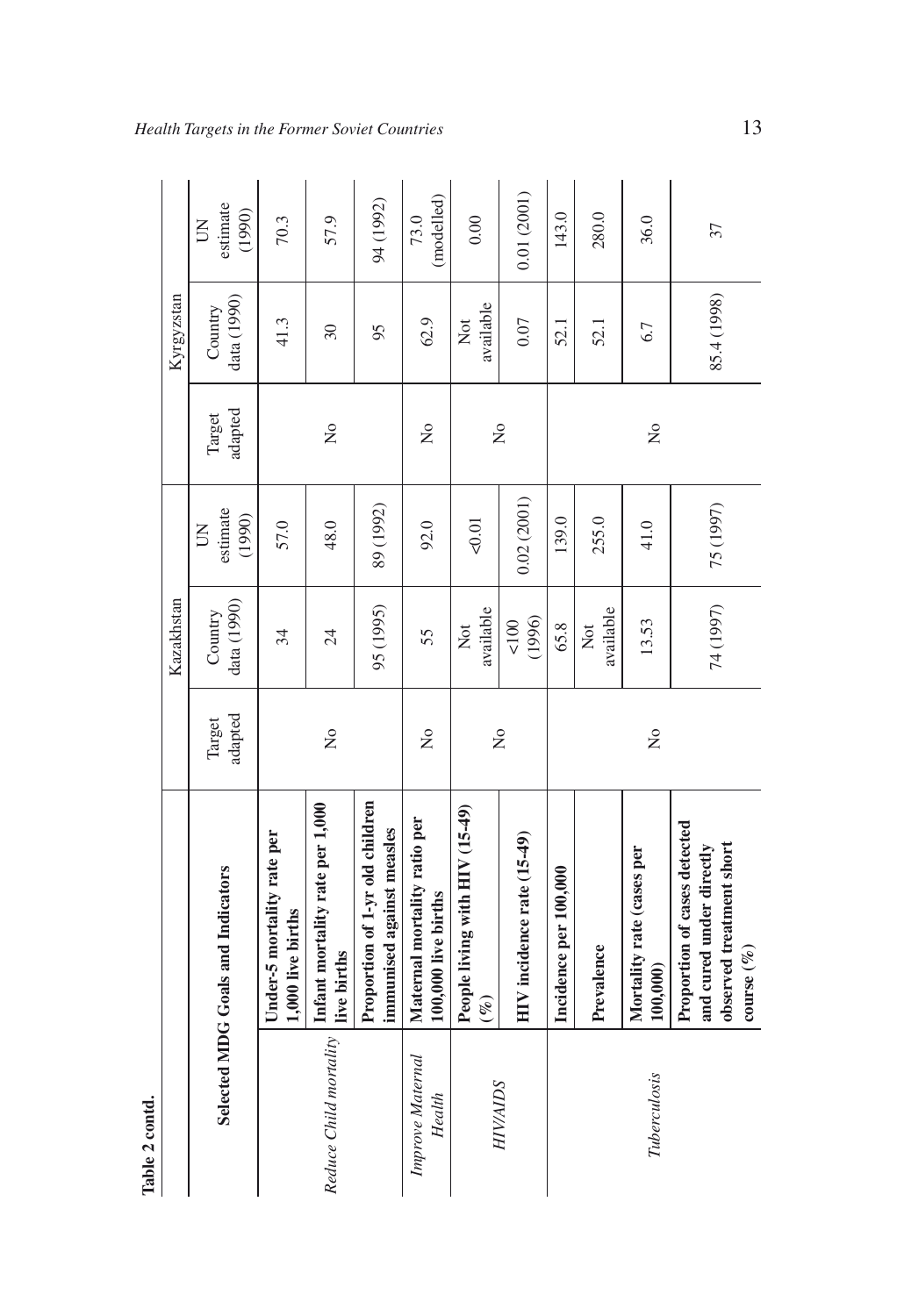| Table 2 contd.             |                                                                                                       |                           |                        |                                               |                           |                        |                                               |
|----------------------------|-------------------------------------------------------------------------------------------------------|---------------------------|------------------------|-----------------------------------------------|---------------------------|------------------------|-----------------------------------------------|
|                            |                                                                                                       |                           | Kazakhstan             |                                               |                           | Kyrgyzstan             |                                               |
|                            | Selected MDG Goals and Indicators                                                                     | adapted<br>Target         | data (1990)<br>Country | estimate<br>(1990)<br>$\overline{\mathsf{S}}$ | adapted<br>Target         | data (1990)<br>Country | estimate<br>(1990)<br>$\overline{\mathsf{S}}$ |
|                            | Under-5 mortality rate per<br>1,000 live births                                                       |                           | 34                     | 57.0                                          |                           | 41.3                   | 70.3                                          |
| Reduce Child mortality     | Infant mortality rate per 1,000<br>live births                                                        | $\tilde{z}$               | $\overline{24}$        | 48.0                                          | $\mathsf{S}^{\mathsf{O}}$ | $30\,$                 | 57.9                                          |
|                            | Proportion of 1-yr old children<br>immunised against measles                                          |                           | 95 (1995)              | 89 (1992)                                     |                           | 95                     | 94 (1992)                                     |
| Improve Maternal<br>Health | Maternal mortality ratio per<br>100,000 live births                                                   | $\mathsf{S}^{\mathsf{o}}$ | 55                     | 92.0                                          | $\frac{1}{2}$             | 62.9                   | (modelled)<br>73.0                            |
|                            | People living with HIV (15-49)<br>$(\%)$                                                              |                           | available<br>Xot       | $-0.01$                                       |                           | available<br>Χō        | 0.00                                          |
| <b>HIV/AIDS</b>            | HIV incidence rate (15-49)                                                                            | $\tilde{S}$               | (1996)<br>100          | 0.02(2001)                                    | $\tilde{z}$               | 0.07                   | 0.01(2001)                                    |
|                            | Incidence per 100,000                                                                                 |                           | 65.8                   | 139.0                                         |                           | 52.1                   | 143.0                                         |
|                            | Prevalence                                                                                            |                           | available<br>Not       | 255.0                                         |                           | 52.1                   | 280.0                                         |
| Tuberculosis               | Mortality rate (cases per<br>100,000                                                                  | $\tilde{z}$               | 13.53                  | 41.0                                          | $\mathsf{S}^{\mathsf{O}}$ | 6.7                    | 36.0                                          |
|                            | Proportion of cases detected<br>and cured under directly<br>observed treatment short<br>course $(\%)$ |                           | 74 (1997)              | 75 (1997)                                     |                           | 85.4 (1998)            | 37                                            |

*Health Targets in the Former Soviet Countries* 13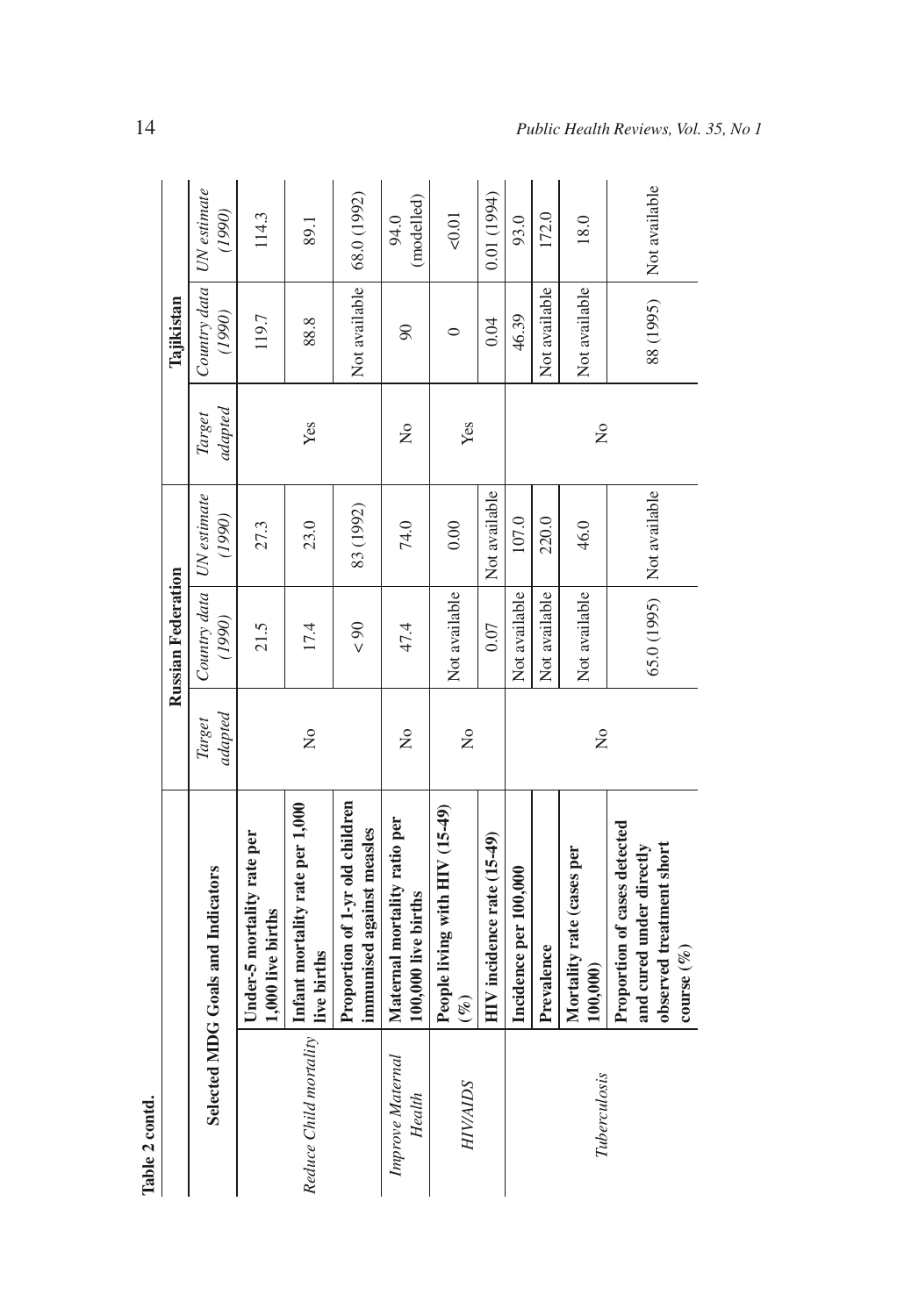| Table 2 contd.             |                                                                                                       |                         |                                      |                             |                   |                                      |                    |
|----------------------------|-------------------------------------------------------------------------------------------------------|-------------------------|--------------------------------------|-----------------------------|-------------------|--------------------------------------|--------------------|
|                            |                                                                                                       |                         | <b>Russian Federation</b>            |                             |                   | Tajikistan                           |                    |
|                            | Selected MDG Goals and Indicators                                                                     | adapted<br>Target       | Country data   UN estimate<br>(1990) | (1990)                      | adapted<br>Target | Country data   UN estimate<br>(1990) | (1990)             |
|                            | Under-5 mortality rate per<br>1,000 live births                                                       |                         | 21.5                                 | 27.3                        |                   | 119.7                                | 114.3              |
| Reduce Child mortality     | Infant mortality rate per 1,000<br>live births                                                        | $\overline{\mathsf{X}}$ | 17.4                                 | 23.0                        | Yes               | 88.8                                 | 89.1               |
|                            | Proportion of 1-yr old children<br>immunised against measles                                          |                         | 06 >                                 | 83 (1992)                   |                   | Not available                        | 68.0 (1992)        |
| Improve Maternal<br>Health | Maternal mortality ratio per<br>100,000 live births                                                   | $\frac{1}{2}$           | 47.4                                 | 74.0                        | $\frac{1}{2}$     | $\overline{6}$                       | (modelled)<br>94.0 |
| <b>HIV/AIDS</b>            | People living with HIV (15-49)<br>$(\%)$                                                              | $\tilde{z}$             | Not available                        | 0.00                        | Yes               | $\circ$                              | 50.01              |
|                            | HIV incidence rate (15-49)                                                                            |                         | 0.07                                 | Not available               |                   | 0.04                                 | 0.01 (1994)        |
|                            | Incidence per 100,000                                                                                 |                         | Not available                        | 107.0                       |                   | 46.39                                | 93.0               |
|                            | Prevalence                                                                                            |                         | Not available                        | 220.0                       |                   | Not available                        | 172.0              |
| Tuberculosis               | Mortality rate (cases per<br>100,000                                                                  | $\tilde{S}$             | Not available                        | 46.0                        | ž                 | Not available                        | 18.0               |
|                            | Proportion of cases detected<br>observed treatment short<br>and cured under directly<br>$course (\%)$ |                         |                                      | 65.0 (1995)   Not available |                   | 88 (1995)                            | Not available      |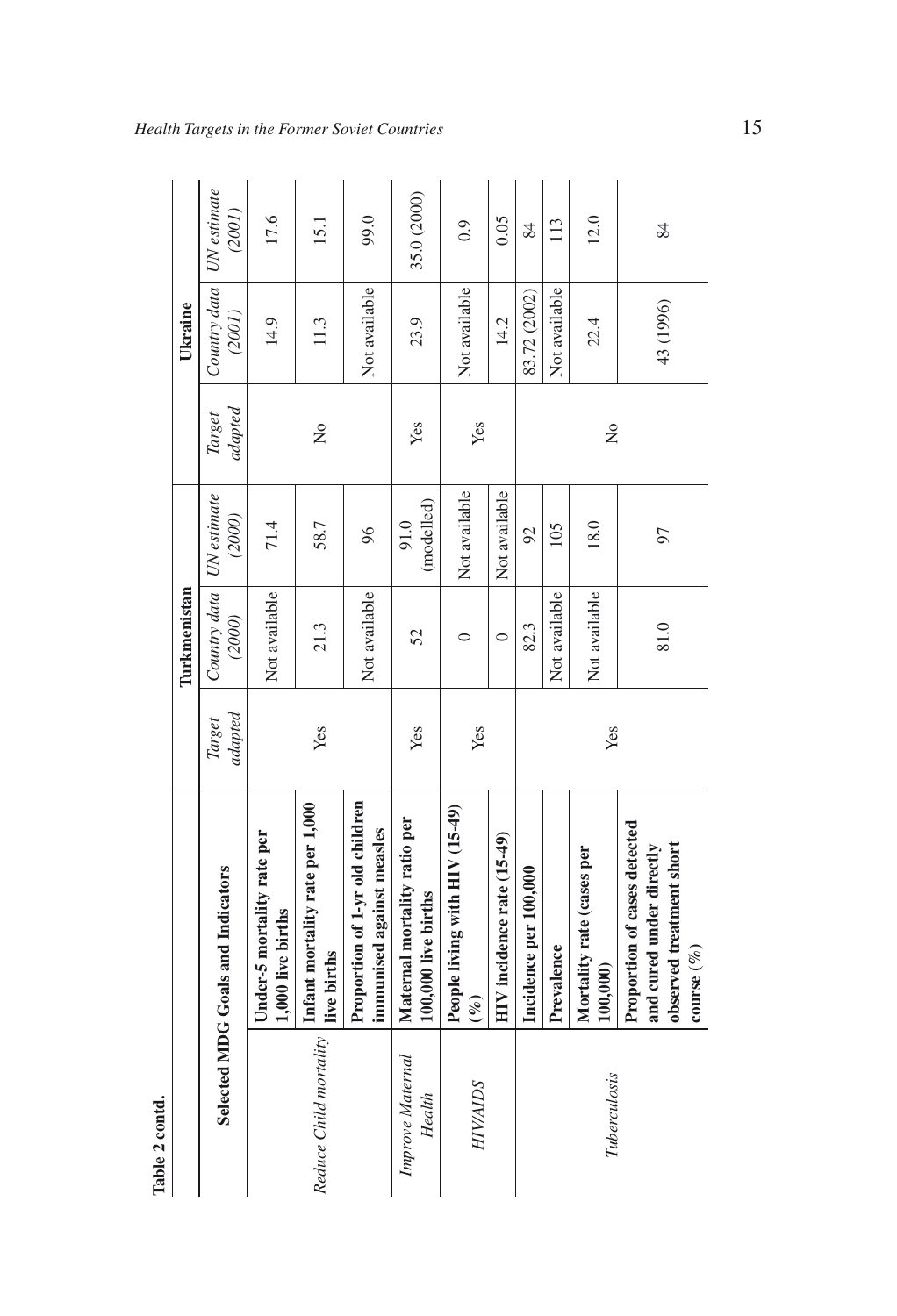| Table 2 contd.             |                                                                                                       |                   |                                      |                    |                      |                                      |             |
|----------------------------|-------------------------------------------------------------------------------------------------------|-------------------|--------------------------------------|--------------------|----------------------|--------------------------------------|-------------|
|                            |                                                                                                       |                   | Turkmenistan                         |                    |                      | Ukraine                              |             |
|                            | Selected MDG Goals and Indicators                                                                     | adapted<br>Target | Country data   UN estimate<br>(2000) | (2000)             | adapted<br>Target    | Country data   UN estimate<br>(2001) | (2001)      |
|                            | Under-5 mortality rate per<br>1,000 live births                                                       |                   | Not available                        | 71.4               |                      | 14.9                                 | 17.6        |
| Reduce Child mortality     | Infant mortality rate per 1,000<br>live births                                                        | Yes               | 21.3                                 | 58.7               | $\tilde{z}$          | 11.3                                 | 15.1        |
|                            | Proportion of 1-yr old children<br>immunised against measles                                          |                   | Not available                        | 96                 |                      | Not available                        | 99.0        |
| Improve Maternal<br>Health | Maternal mortality ratio per<br>100,000 live births                                                   | Yes               | 52                                   | (modelled)<br>91.0 | Yes                  | 23.9                                 | 35.0 (2000) |
| <b>HIV/AIDS</b>            | People living with HIV (15-49)<br>$(\%)$                                                              | Yes               | $\circ$                              | Not available      | Yes                  | Not available                        | 0.9         |
|                            | HIV incidence rate (15-49)                                                                            |                   | $\circ$                              | Not available      |                      | 14.2                                 | 0.05        |
|                            | Incidence per 100,000                                                                                 |                   | 82.3                                 | 92                 |                      | 83.72 (2002)                         | 84          |
|                            | Prevalence                                                                                            |                   | Not available                        | 105                |                      | Not available                        | 113         |
| Tuberculosis               | Mortality rate (cases per<br>100,000                                                                  | Yes               | Not available                        | 18.0               | $\tilde{\mathsf{z}}$ | 22.4                                 | 12.0        |
|                            | Proportion of cases detected<br>observed treatment short<br>and cured under directly<br>course $(\%)$ |                   | 81.0                                 | 97                 |                      | 43 (1996)                            | 84          |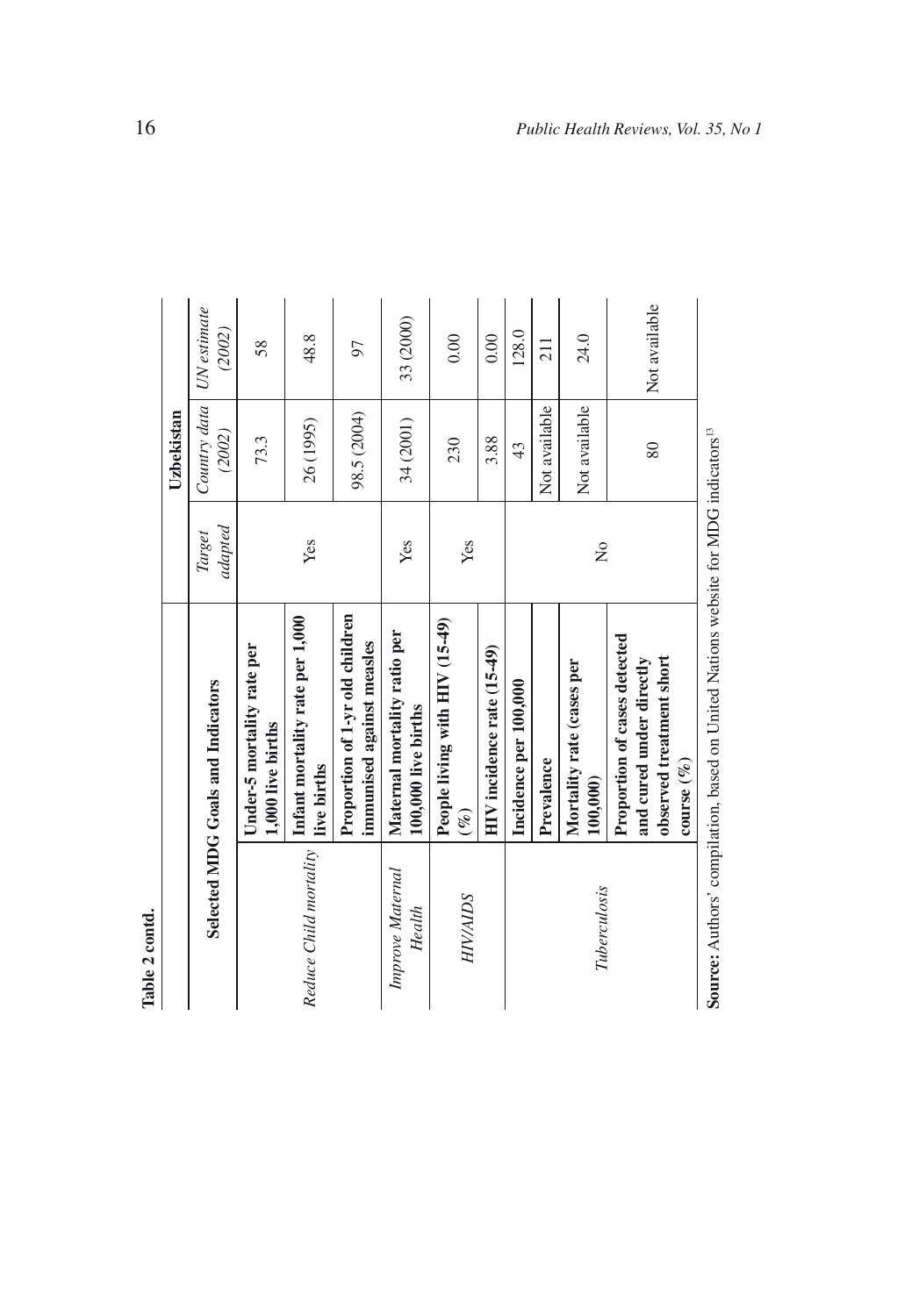| ì<br>۰ |
|--------|
|        |
| J      |
|        |
| Φ      |
|        |
|        |
|        |
|        |

| Table 2 contd.             |                                                                                                       |                   |                        |                       |
|----------------------------|-------------------------------------------------------------------------------------------------------|-------------------|------------------------|-----------------------|
|                            |                                                                                                       |                   | Uzbekistan             |                       |
|                            | Selected MDG Goals and Indicators                                                                     | adapted<br>Target | Country data<br>(2002) | UN estimate<br>(2002) |
|                            | Under-5 mortality rate per<br>1,000 live births                                                       |                   | 73.3                   | 58                    |
| Reduce Child mortality     | Infant mortality rate per 1,000<br>live births                                                        | Yes               | 26 (1995)              | 48.8                  |
|                            | Proportion of 1-yr old children<br>immunised against measles                                          |                   | 98.5 (2004)            | 56                    |
| Improve Maternal<br>Health | Maternal mortality ratio per<br>100,000 live births                                                   | Yes               | 34 (2001)              | 33 (2000)             |
| HIVAIDS                    | People living with HIV (15-49)<br>$(\%)$                                                              | Yes               | 230                    | 0.00                  |
|                            | HIV incidence rate (15-49)                                                                            |                   | 3.88                   | 0.00                  |
|                            | Incidence per 100,000                                                                                 |                   | 43                     | 128.0                 |
|                            | Prevalence                                                                                            |                   | Not available          | 211                   |
| Tuberculosis               | Mortality rate (cases per<br>100,000                                                                  | ż                 | Not available          | 24.0                  |
|                            | Proportion of cases detected<br>observed treatment short<br>and cured under directly<br>course $(\%)$ |                   | 80                     | Not available         |
|                            | Source: Authors' compilation, based on United Nations website for MDG indicators <sup>13</sup>        |                   |                        |                       |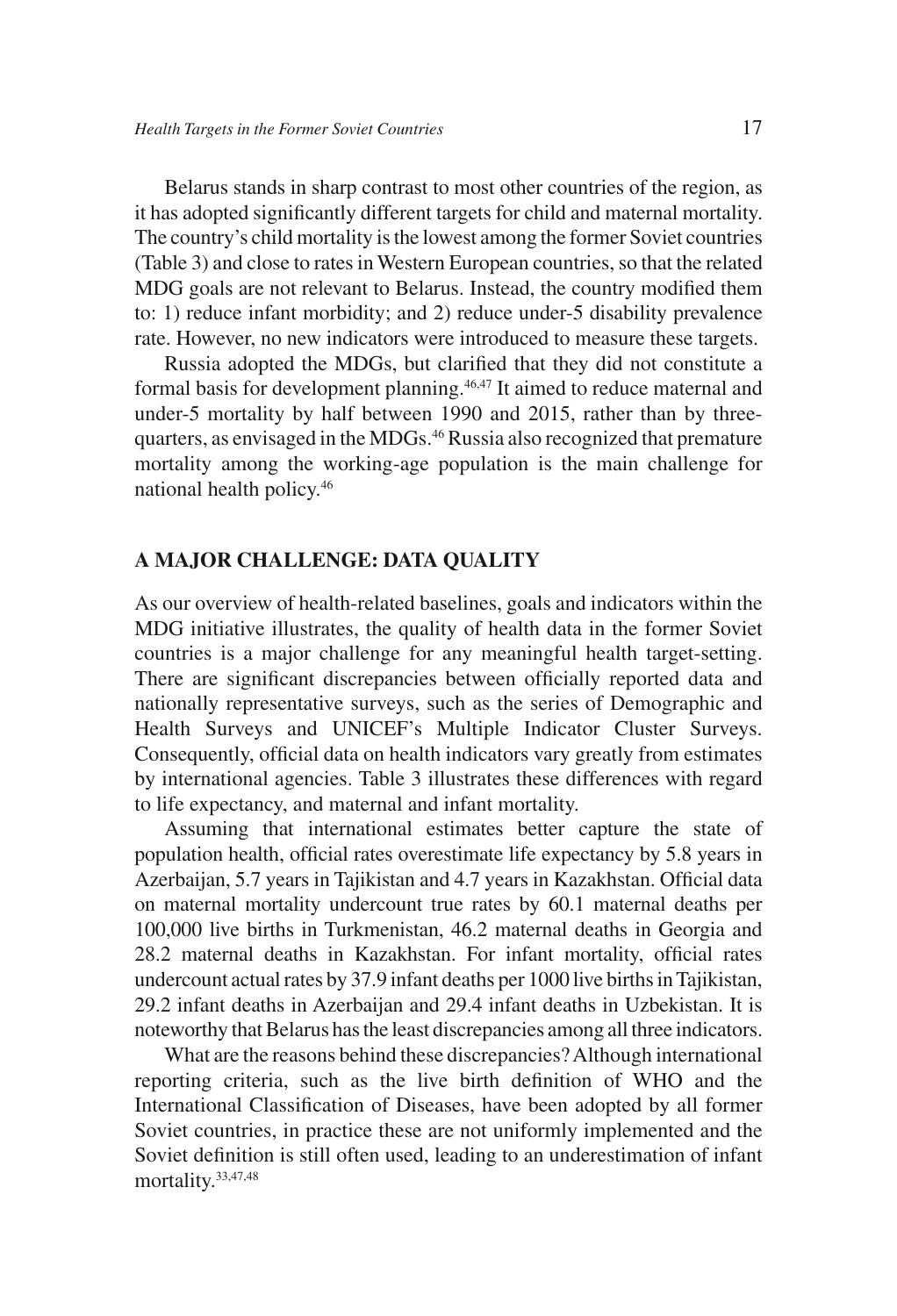Belarus stands in sharp contrast to most other countries of the region, as it has adopted significantly different targets for child and maternal mortality. The country's child mortality is the lowest among the former Soviet countries (Table 3) and close to rates in Western European countries, so that the related MDG goals are not relevant to Belarus. Instead, the country modified them to: 1) reduce infant morbidity; and 2) reduce under-5 disability prevalence rate. However, no new indicators were introduced to measure these targets.

Russia adopted the MDGs, but clarified that they did not constitute a formal basis for development planning.46,47 It aimed to reduce maternal and under-5 mortality by half between 1990 and 2015, rather than by threequarters, as envisaged in the MDGs.46 Russia also recognized that premature mortality among the working-age population is the main challenge for national health policy.46

### **A MAJOR CHALLENGE: DATA QUALITY**

As our overview of health-related baselines, goals and indicators within the MDG initiative illustrates, the quality of health data in the former Soviet countries is a major challenge for any meaningful health target-setting. There are significant discrepancies between officially reported data and nationally representative surveys, such as the series of Demographic and Health Surveys and UNICEF's Multiple Indicator Cluster Surveys. Consequently, official data on health indicators vary greatly from estimates by international agencies. Table 3 illustrates these differences with regard to life expectancy, and maternal and infant mortality.

Assuming that international estimates better capture the state of population health, official rates overestimate life expectancy by 5.8 years in Azerbaijan, 5.7 years in Tajikistan and 4.7 years in Kazakhstan. Official data on maternal mortality undercount true rates by 60.1 maternal deaths per 100,000 live births in Turkmenistan, 46.2 maternal deaths in Georgia and 28.2 maternal deaths in Kazakhstan. For infant mortality, official rates undercount actual rates by 37.9 infant deaths per 1000 live births in Tajikistan, 29.2 infant deaths in Azerbaijan and 29.4 infant deaths in Uzbekistan. It is noteworthy that Belarus has the least discrepancies among all three indicators.

What are the reasons behind these discrepancies? Although international reporting criteria, such as the live birth definition of WHO and the International Classification of Diseases, have been adopted by all former Soviet countries, in practice these are not uniformly implemented and the Soviet definition is still often used, leading to an underestimation of infant mortality.33,47,48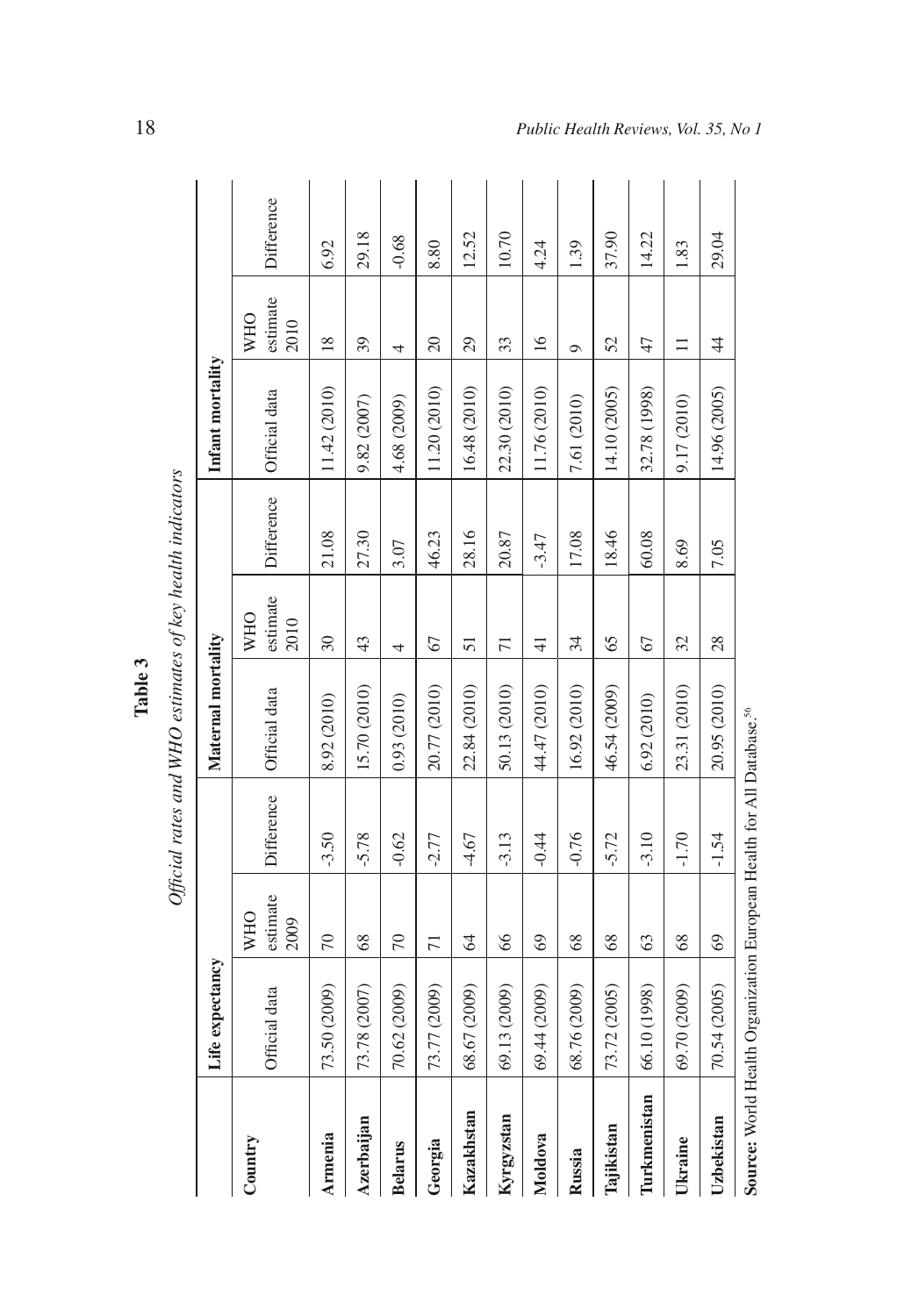|                |                                                                                   |                                |            | Table 3                                                   |                                |            |                  |                                |            |
|----------------|-----------------------------------------------------------------------------------|--------------------------------|------------|-----------------------------------------------------------|--------------------------------|------------|------------------|--------------------------------|------------|
|                |                                                                                   |                                |            | Official rates and WHO estimates of key health indicators |                                |            |                  |                                |            |
|                | Life expectancy                                                                   |                                |            | Maternal mortality                                        |                                |            | Infant mortality |                                |            |
| Country        | Official data                                                                     | estimate<br><b>WHO</b><br>2009 | Difference | Official data                                             | estimate<br><b>WHO</b><br>2010 | Difference | Official data    | estimate<br><b>WHO</b><br>2010 | Difference |
| Armenia        | 73.50 (2009)                                                                      | $\overline{70}$                | $-3.50$    | 8.92 (2010)                                               | 30                             | 21.08      | 11.42 (2010)     | $\frac{8}{2}$                  | 6.92       |
| Azerbaijan     | 73.78 (2007)                                                                      | 68                             | $-5.78$    | 15.70 (2010)                                              | 43                             | 27.30      | 9.82 (2007)      | 39                             | 29.18      |
| <b>Belarus</b> | 70.62 (2009)                                                                      | 70                             | $-0.62$    | 0.93 (2010)                                               | 4                              | 3.07       | 4.68 (2009)      | 4                              | $-0.68$    |
| Georgia        | 73.77 (2009)                                                                      | $\overline{71}$                | $-2.77$    | 20.77 (2010)                                              | 67                             | 46.23      | 11.20 (2010)     | 20                             | 8.80       |
| Kazakhstan     | 68.67 (2009)                                                                      | 64                             | $-4.67$    | 22.84 (2010)                                              | 51                             | 28.16      | 16.48 (2010)     | 29                             | 12.52      |
| Kyrgyzstan     | 69.13 (2009)                                                                      | 66                             | $-3.13$    | 50.13 (2010)                                              | $\overline{71}$                | 20.87      | 22.30 (2010)     | 33                             | 10.70      |
| Moldova        | 69.44 (2009)                                                                      | 69                             | $-0.44$    | 44.47 (2010)                                              | $\frac{1}{4}$                  | $-3.47$    | 11.76 (2010)     | $\overline{16}$                | 4.24       |
| Russia         | 68.76 (2009)                                                                      | 68                             | $-0.76$    | 16.92 (2010)                                              | 34                             | 17.08      | 7.61 (2010)      | $\sigma$                       | 1.39       |
| Tajikistan     | 73.72 (2005)                                                                      | 68                             | $-5.72$    | 46.54 (2009)                                              | 65                             | 18.46      | 14.10 (2005)     | 52                             | 37.90      |
| Turkmenistan   | 66.10 (1998)                                                                      | 63                             | $-3.10$    | 6.92 (2010)                                               | 67                             | 60.08      | 32.78 (1998)     | 47                             | 14.22      |
| Ukraine        | 69.70 (2009)                                                                      | 68                             | $-1.70$    | 23.31 (2010)                                              | 32                             | 8.69       | 9.17 (2010)      | $\equiv$                       | 1.83       |
| Uzbekistan     | 70.54 (2005)                                                                      | 69                             | $-1.54$    | 20.95 (2010)                                              | 28                             | 7.05       | 14.96 (2005)     | $rac{4}{4}$                    | 29.04      |
|                | Source: World Health Organization European Health for All Database. <sup>56</sup> |                                |            |                                                           |                                |            |                  |                                |            |

Table 3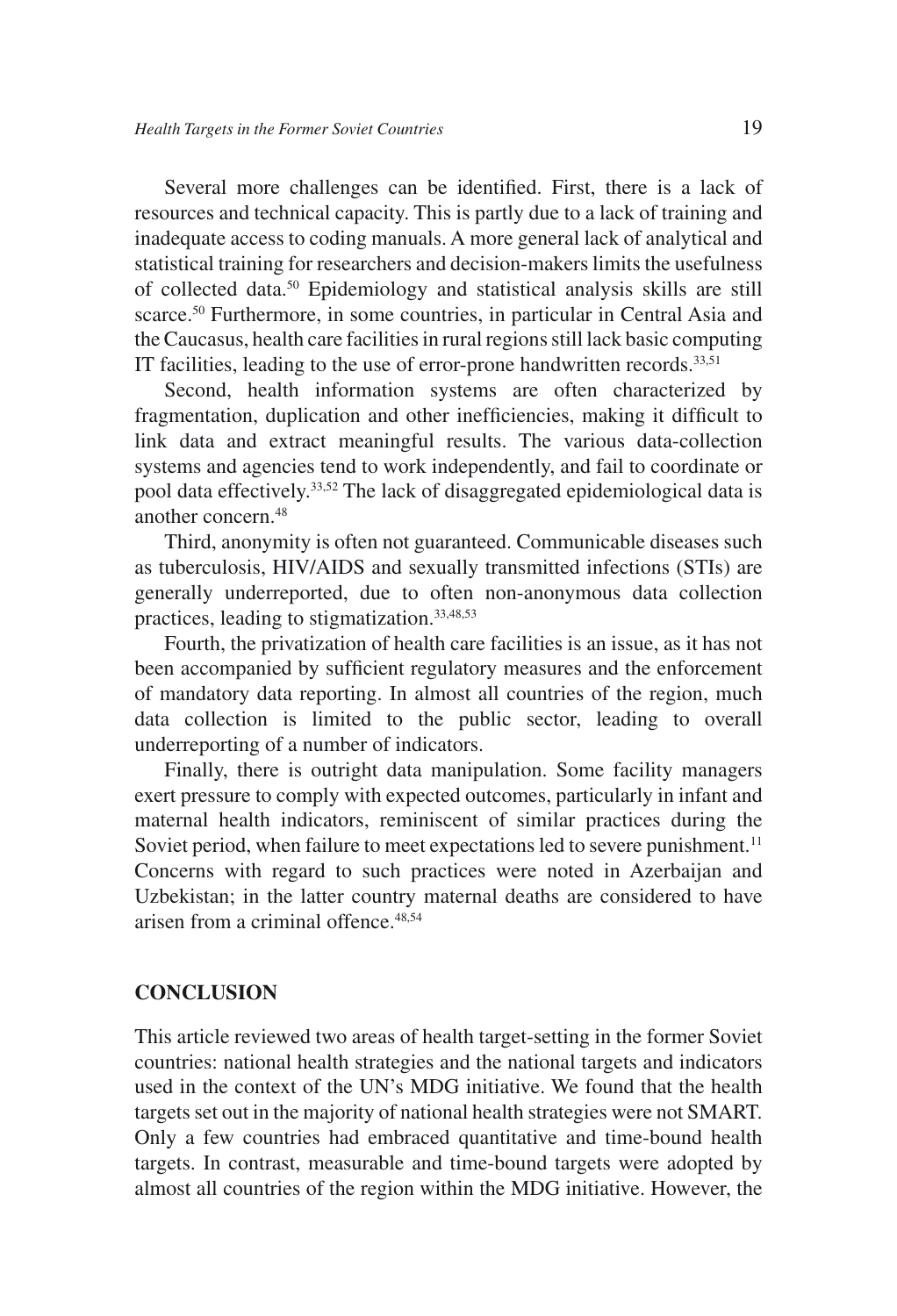Several more challenges can be identified. First, there is a lack of resources and technical capacity. This is partly due to a lack of training and inadequate access to coding manuals. A more general lack of analytical and statistical training for researchers and decision-makers limits the usefulness of collected data.50 Epidemiology and statistical analysis skills are still scarce.<sup>50</sup> Furthermore, in some countries, in particular in Central Asia and the Caucasus, health care facilities in rural regions still lack basic computing IT facilities, leading to the use of error-prone handwritten records.<sup>33,51</sup>

Second, health information systems are often characterized by fragmentation, duplication and other inefficiencies, making it difficult to link data and extract meaningful results. The various data-collection systems and agencies tend to work independently, and fail to coordinate or pool data effectively.33,52 The lack of disaggregated epidemiological data is another concern.48

Third, anonymity is often not guaranteed. Communicable diseases such as tuberculosis, HIV/AIDS and sexually transmitted infections (STIs) are generally underreported, due to often non-anonymous data collection practices, leading to stigmatization.33,48,53

Fourth, the privatization of health care facilities is an issue, as it has not been accompanied by sufficient regulatory measures and the enforcement of mandatory data reporting. In almost all countries of the region, much data collection is limited to the public sector, leading to overall underreporting of a number of indicators.

Finally, there is outright data manipulation. Some facility managers exert pressure to comply with expected outcomes, particularly in infant and maternal health indicators, reminiscent of similar practices during the Soviet period, when failure to meet expectations led to severe punishment.<sup>11</sup> Concerns with regard to such practices were noted in Azerbaijan and Uzbekistan; in the latter country maternal deaths are considered to have arisen from a criminal offence.48,54

#### **CONCLUSION**

This article reviewed two areas of health target-setting in the former Soviet countries: national health strategies and the national targets and indicators used in the context of the UN's MDG initiative. We found that the health targets set out in the majority of national health strategies were not SMART. Only a few countries had embraced quantitative and time-bound health targets. In contrast, measurable and time-bound targets were adopted by almost all countries of the region within the MDG initiative. However, the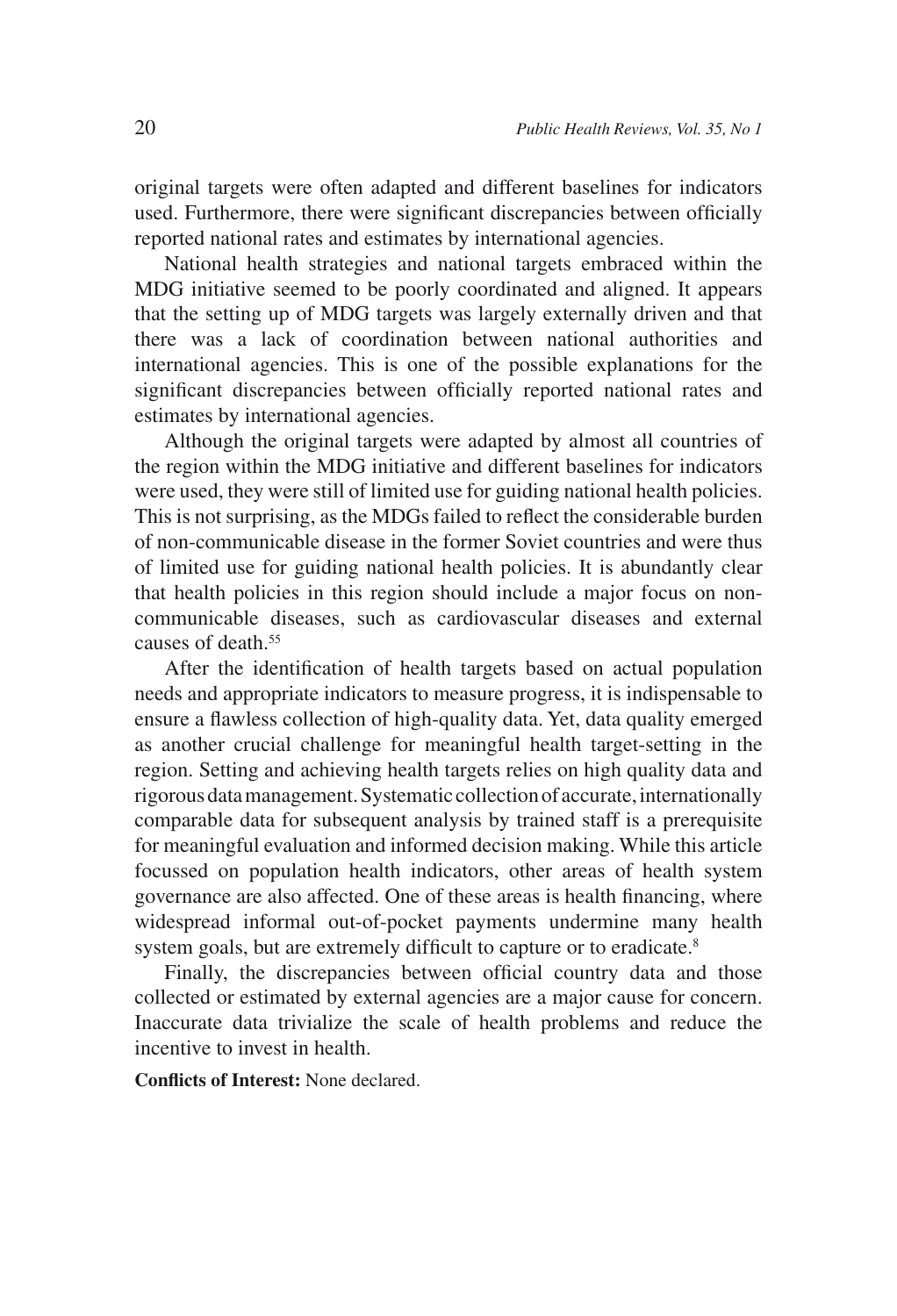original targets were often adapted and different baselines for indicators used. Furthermore, there were significant discrepancies between officially reported national rates and estimates by international agencies.

National health strategies and national targets embraced within the MDG initiative seemed to be poorly coordinated and aligned. It appears that the setting up of MDG targets was largely externally driven and that there was a lack of coordination between national authorities and international agencies. This is one of the possible explanations for the significant discrepancies between officially reported national rates and estimates by international agencies.

Although the original targets were adapted by almost all countries of the region within the MDG initiative and different baselines for indicators were used, they were still of limited use for guiding national health policies. This is not surprising, as the MDGs failed to reflect the considerable burden of non-communicable disease in the former Soviet countries and were thus of limited use for guiding national health policies. It is abundantly clear that health policies in this region should include a major focus on noncommunicable diseases, such as cardiovascular diseases and external causes of death.55

After the identification of health targets based on actual population needs and appropriate indicators to measure progress, it is indispensable to ensure a flawless collection of high-quality data. Yet, data quality emerged as another crucial challenge for meaningful health target-setting in the region. Setting and achieving health targets relies on high quality data and rigorous data management. Systematic collection of accurate, internationally comparable data for subsequent analysis by trained staff is a prerequisite for meaningful evaluation and informed decision making. While this article focussed on population health indicators, other areas of health system governance are also affected. One of these areas is health financing, where widespread informal out-of-pocket payments undermine many health system goals, but are extremely difficult to capture or to eradicate.<sup>8</sup>

Finally, the discrepancies between official country data and those collected or estimated by external agencies are a major cause for concern. Inaccurate data trivialize the scale of health problems and reduce the incentive to invest in health.

**Conflicts of Interest:** None declared.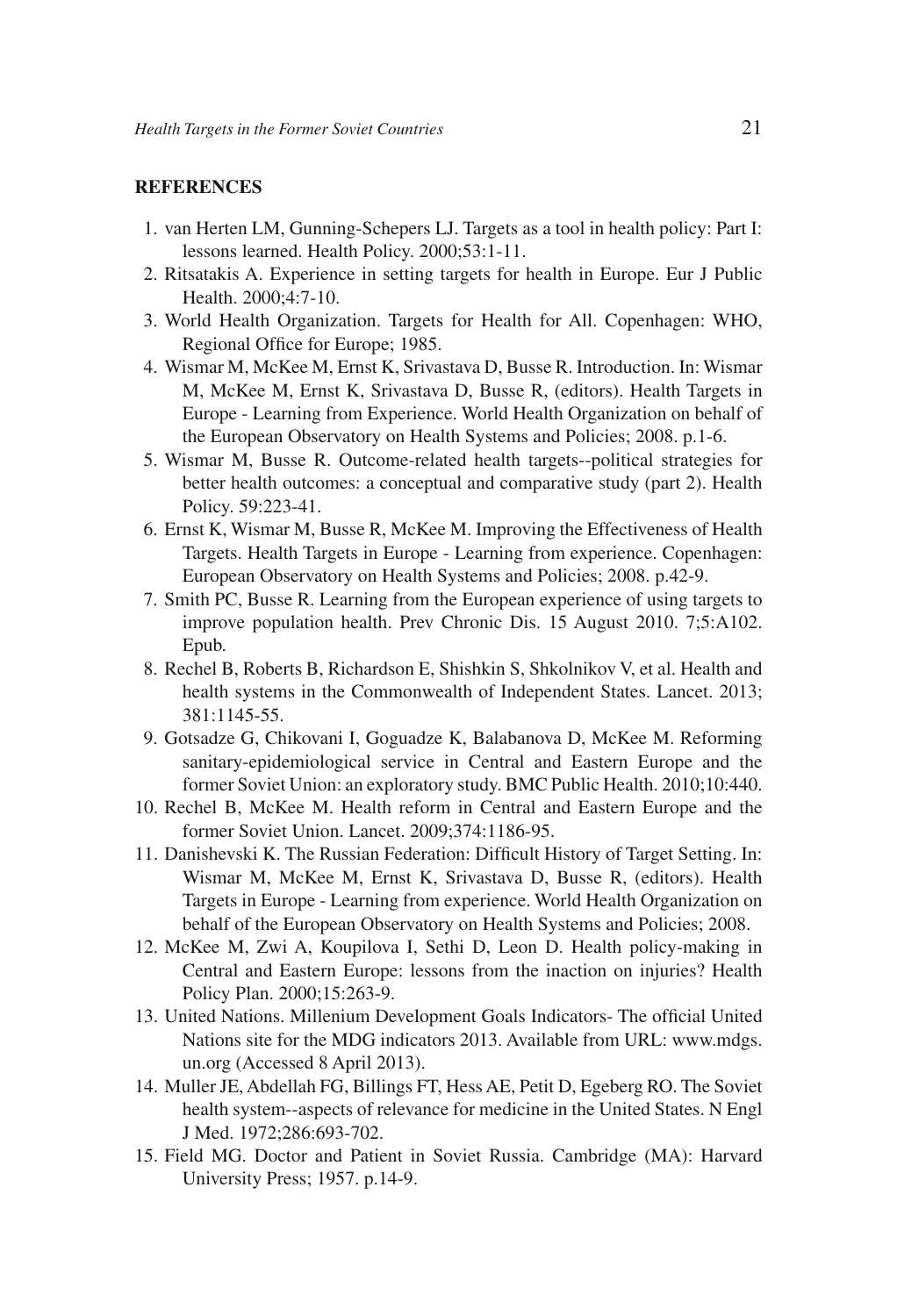#### **REFERENCES**

- 1. van Herten LM, Gunning-Schepers LJ. Targets as a tool in health policy: Part I: lessons learned. Health Policy. 2000;53:1-11.
- 2. Ritsatakis A. Experience in setting targets for health in Europe. Eur J Public Health. 2000;4:7-10.
- 3. World Health Organization. Targets for Health for All. Copenhagen: WHO, Regional Office for Europe; 1985.
- 4. Wismar M, McKee M, Ernst K, Srivastava D, Busse R. Introduction. In: Wismar M, McKee M, Ernst K, Srivastava D, Busse R, (editors). Health Targets in Europe - Learning from Experience. World Health Organization on behalf of the European Observatory on Health Systems and Policies; 2008. p.1-6.
- 5. Wismar M, Busse R. Outcome-related health targets--political strategies for better health outcomes: a conceptual and comparative study (part 2). Health Policy. 59:223-41.
- 6. Ernst K, Wismar M, Busse R, McKee M. Improving the Effectiveness of Health Targets. Health Targets in Europe - Learning from experience. Copenhagen: European Observatory on Health Systems and Policies; 2008. p.42-9.
- 7. Smith PC, Busse R. Learning from the European experience of using targets to improve population health. Prev Chronic Dis. 15 August 2010. 7;5:A102. Epub.
- 8. Rechel B, Roberts B, Richardson E, Shishkin S, Shkolnikov V, et al. Health and health systems in the Commonwealth of Independent States. Lancet. 2013; 381:1145-55.
- 9. Gotsadze G, Chikovani I, Goguadze K, Balabanova D, McKee M. Reforming sanitary-epidemiological service in Central and Eastern Europe and the former Soviet Union: an exploratory study. BMC Public Health. 2010;10:440.
- 10. Rechel B, McKee M. Health reform in Central and Eastern Europe and the former Soviet Union. Lancet. 2009;374:1186-95.
- 11. Danishevski K. The Russian Federation: Difficult History of Target Setting. In: Wismar M, McKee M, Ernst K, Srivastava D, Busse R, (editors). Health Targets in Europe - Learning from experience. World Health Organization on behalf of the European Observatory on Health Systems and Policies; 2008.
- 12. McKee M, Zwi A, Koupilova I, Sethi D, Leon D. Health policy-making in Central and Eastern Europe: lessons from the inaction on injuries? Health Policy Plan. 2000;15:263-9.
- 13. United Nations. Millenium Development Goals Indicators- The official United Nations site for the MDG indicators 2013. Available from URL: www.mdgs. un.org (Accessed 8 April 2013).
- 14. Muller JE, Abdellah FG, Billings FT, Hess AE, Petit D, Egeberg RO. The Soviet health system--aspects of relevance for medicine in the United States. N Engl J Med. 1972;286:693-702.
- 15. Field MG. Doctor and Patient in Soviet Russia. Cambridge (MA): Harvard University Press; 1957. p.14-9.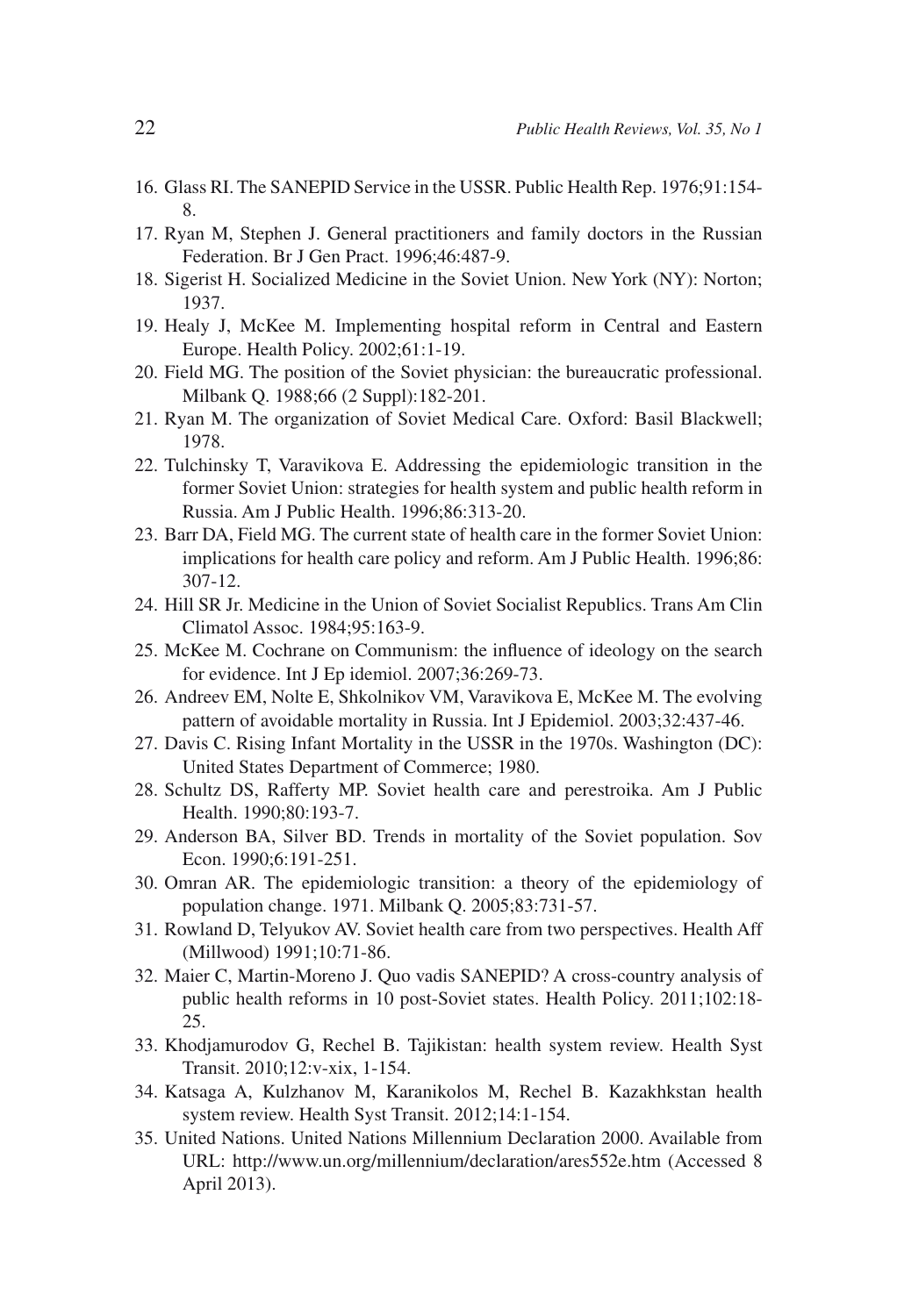- 16. Glass RI. The SANEPID Service in the USSR. Public Health Rep. 1976;91:154- 8.
- 17. Ryan M, Stephen J. General practitioners and family doctors in the Russian Federation. Br J Gen Pract. 1996;46:487-9.
- 18. Sigerist H. Socialized Medicine in the Soviet Union. New York (NY): Norton; 1937.
- 19. Healy J, McKee M. Implementing hospital reform in Central and Eastern Europe. Health Policy. 2002;61:1-19.
- 20. Field MG. The position of the Soviet physician: the bureaucratic professional. Milbank Q. 1988;66 (2 Suppl):182-201.
- 21. Ryan M. The organization of Soviet Medical Care. Oxford: Basil Blackwell; 1978.
- 22. Tulchinsky T, Varavikova E. Addressing the epidemiologic transition in the former Soviet Union: strategies for health system and public health reform in Russia. Am J Public Health. 1996;86:313-20.
- 23. Barr DA, Field MG. The current state of health care in the former Soviet Union: implications for health care policy and reform. Am J Public Health. 1996;86: 307-12.
- 24. Hill SR Jr. Medicine in the Union of Soviet Socialist Republics. Trans Am Clin Climatol Assoc. 1984;95:163-9.
- 25. McKee M. Cochrane on Communism: the influence of ideology on the search for evidence. Int J Ep idemiol. 2007;36:269-73.
- 26. Andreev EM, Nolte E, Shkolnikov VM, Varavikova E, McKee M. The evolving pattern of avoidable mortality in Russia. Int J Epidemiol. 2003;32:437-46.
- 27. Davis C. Rising Infant Mortality in the USSR in the 1970s. Washington (DC): United States Department of Commerce; 1980.
- 28. Schultz DS, Rafferty MP. Soviet health care and perestroika. Am J Public Health. 1990;80:193-7.
- 29. Anderson BA, Silver BD. Trends in mortality of the Soviet population. Sov Econ. 1990;6:191-251.
- 30. Omran AR. The epidemiologic transition: a theory of the epidemiology of population change. 1971. Milbank Q. 2005;83:731-57.
- 31. Rowland D, Telyukov AV. Soviet health care from two perspectives. Health Aff (Millwood) 1991;10:71-86.
- 32. Maier C, Martin-Moreno J. Quo vadis SANEPID? A cross-country analysis of public health reforms in 10 post-Soviet states. Health Policy. 2011;102:18- 25.
- 33. Khodjamurodov G, Rechel B. Tajikistan: health system review. Health Syst Transit. 2010;12:v-xix, 1-154.
- 34. Katsaga A, Kulzhanov M, Karanikolos M, Rechel B. Kazakhkstan health system review. Health Syst Transit. 2012;14:1-154.
- 35. United Nations. United Nations Millennium Declaration 2000. Available from URL: http://www.un.org/millennium/declaration/ares552e.htm (Accessed 8 April 2013).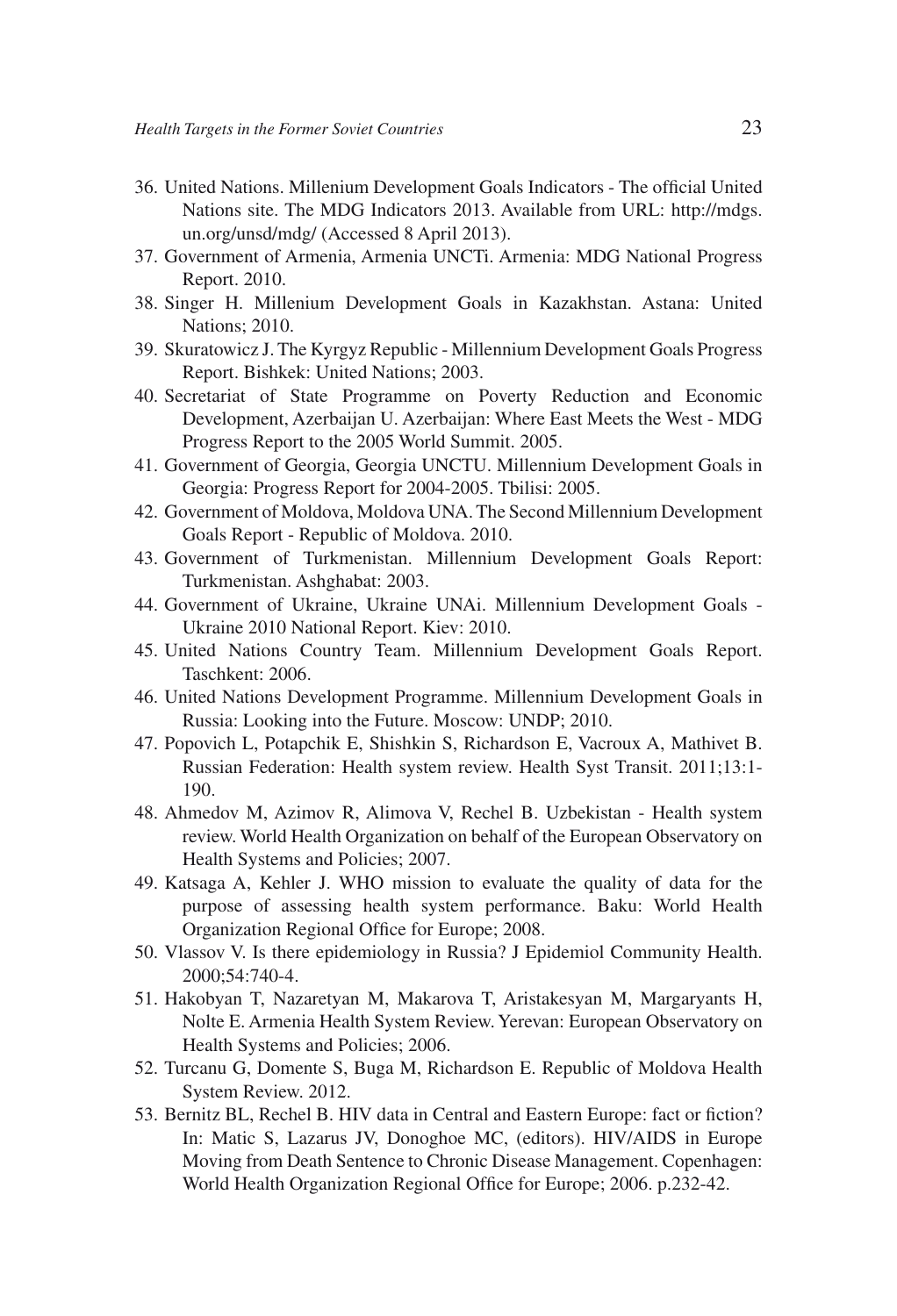- 36. United Nations. Millenium Development Goals Indicators The official United Nations site. The MDG Indicators 2013. Available from URL: http://mdgs. un.org/unsd/mdg/ (Accessed 8 April 2013).
- 37. Government of Armenia, Armenia UNCTi. Armenia: MDG National Progress Report. 2010.
- 38. Singer H. Millenium Development Goals in Kazakhstan. Astana: United Nations; 2010.
- 39. Skuratowicz J. The Kyrgyz Republic Millennium Development Goals Progress Report. Bishkek: United Nations; 2003.
- 40. Secretariat of State Programme on Poverty Reduction and Economic Development, Azerbaijan U. Azerbaijan: Where East Meets the West - MDG Progress Report to the 2005 World Summit. 2005.
- 41. Government of Georgia, Georgia UNCTU. Millennium Development Goals in Georgia: Progress Report for 2004-2005. Tbilisi: 2005.
- 42. Government of Moldova, Moldova UNA. The Second Millennium Development Goals Report - Republic of Moldova. 2010.
- 43. Government of Turkmenistan. Millennium Development Goals Report: Turkmenistan. Ashghabat: 2003.
- 44. Government of Ukraine, Ukraine UNAi. Millennium Development Goals Ukraine 2010 National Report. Kiev: 2010.
- 45. United Nations Country Team. Millennium Development Goals Report. Taschkent: 2006.
- 46. United Nations Development Programme. Millennium Development Goals in Russia: Looking into the Future. Moscow: UNDP; 2010.
- 47. Popovich L, Potapchik E, Shishkin S, Richardson E, Vacroux A, Mathivet B. Russian Federation: Health system review. Health Syst Transit. 2011;13:1- 190.
- 48. Ahmedov M, Azimov R, Alimova V, Rechel B. Uzbekistan Health system review. World Health Organization on behalf of the European Observatory on Health Systems and Policies; 2007.
- 49. Katsaga A, Kehler J. WHO mission to evaluate the quality of data for the purpose of assessing health system performance. Baku: World Health Organization Regional Office for Europe; 2008.
- 50. Vlassov V. Is there epidemiology in Russia? J Epidemiol Community Health. 2000;54:740-4.
- 51. Hakobyan T, Nazaretyan M, Makarova T, Aristakesyan M, Margaryants H, Nolte E. Armenia Health System Review. Yerevan: European Observatory on Health Systems and Policies; 2006.
- 52. Turcanu G, Domente S, Buga M, Richardson E. Republic of Moldova Health System Review. 2012.
- 53. Bernitz BL, Rechel B. HIV data in Central and Eastern Europe: fact or fiction? In: Matic S, Lazarus JV, Donoghoe MC, (editors). HIV/AIDS in Europe Moving from Death Sentence to Chronic Disease Management. Copenhagen: World Health Organization Regional Office for Europe; 2006. p.232-42.